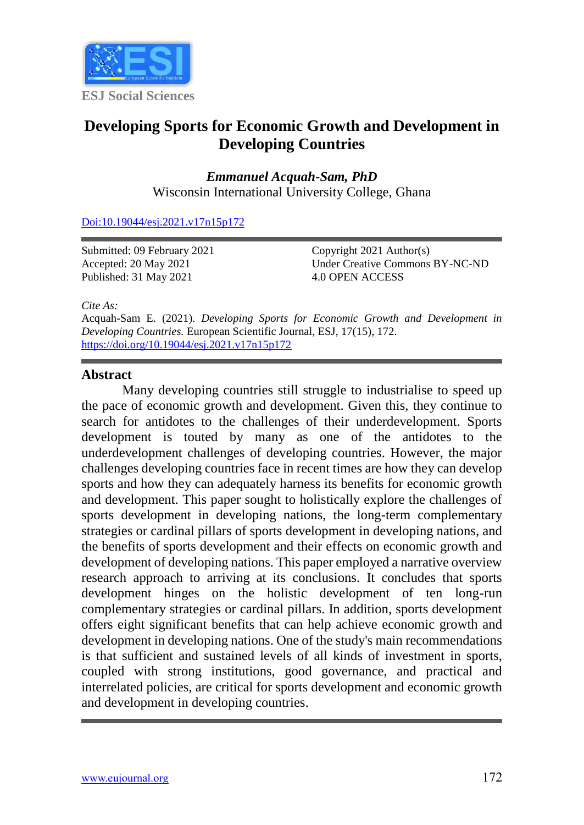

# **Developing Sports for Economic Growth and Development in Developing Countries**

*Emmanuel Acquah-Sam, PhD* Wisconsin International University College, Ghana

[Doi:10.19044/esj.2021.v17n15p172](https://doi.org/10.19044/esj.2021.v17n15p1)

Submitted: 09 February 2021 Accepted: 20 May 2021 Published: 31 May 2021

Copyright 2021 Author(s) Under Creative Commons BY-NC-ND 4.0 OPEN ACCESS

*Cite As:*

Acquah-Sam E. (2021). *Developing Sports for Economic Growth and Development in Developing Countries.* European Scientific Journal, ESJ, 17(15), 172. <https://doi.org/10.19044/esj.2021.v17n15p172>

#### **Abstract**

Many developing countries still struggle to industrialise to speed up the pace of economic growth and development. Given this, they continue to search for antidotes to the challenges of their underdevelopment. Sports development is touted by many as one of the antidotes to the underdevelopment challenges of developing countries. However, the major challenges developing countries face in recent times are how they can develop sports and how they can adequately harness its benefits for economic growth and development. This paper sought to holistically explore the challenges of sports development in developing nations, the long-term complementary strategies or cardinal pillars of sports development in developing nations, and the benefits of sports development and their effects on economic growth and development of developing nations. This paper employed a narrative overview research approach to arriving at its conclusions. It concludes that sports development hinges on the holistic development of ten long-run complementary strategies or cardinal pillars. In addition, sports development offers eight significant benefits that can help achieve economic growth and development in developing nations. One of the study's main recommendations is that sufficient and sustained levels of all kinds of investment in sports, coupled with strong institutions, good governance, and practical and interrelated policies, are critical for sports development and economic growth and development in developing countries.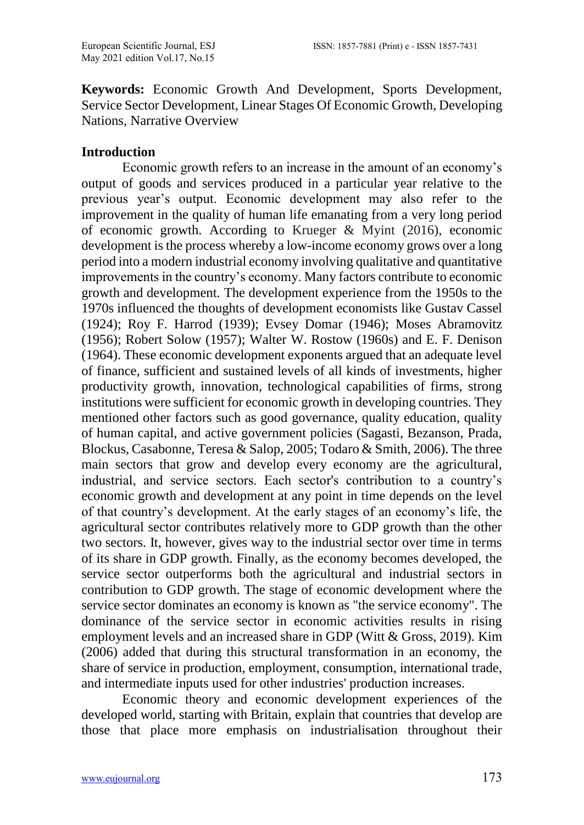**Keywords:** Economic Growth And Development, Sports Development, Service Sector Development, Linear Stages Of Economic Growth, Developing Nations, Narrative Overview

#### **Introduction**

Economic growth refers to an increase in the amount of an economy's output of goods and services produced in a particular year relative to the previous year's output. Economic development may also refer to the improvement in the quality of human life emanating from a very long period of economic growth. According to Krueger & Myint (2016), economic development is the process whereby a low-income economy grows over a long period into a modern industrial economy involving qualitative and quantitative improvements in the country's economy. Many factors contribute to economic growth and development. The development experience from the 1950s to the 1970s influenced the thoughts of development economists like Gustav Cassel (1924); Roy F. Harrod (1939); Evsey Domar (1946); Moses Abramovitz (1956); Robert Solow (1957); Walter W. Rostow (1960s) and E. F. Denison (1964). These economic development exponents argued that an adequate level of finance, sufficient and sustained levels of all kinds of investments, higher productivity growth, innovation, technological capabilities of firms, strong institutions were sufficient for economic growth in developing countries. They mentioned other factors such as good governance, quality education, quality of human capital, and active government policies (Sagasti, Bezanson, Prada, Blockus, Casabonne, Teresa & Salop, 2005; Todaro & Smith, 2006). The three main sectors that grow and develop every economy are the agricultural, industrial, and service sectors. Each sector's contribution to a country's economic growth and development at any point in time depends on the level of that country's development. At the early stages of an economy's life, the agricultural sector contributes relatively more to GDP growth than the other two sectors. It, however, gives way to the industrial sector over time in terms of its share in GDP growth. Finally, as the economy becomes developed, the service sector outperforms both the agricultural and industrial sectors in contribution to GDP growth. The stage of economic development where the service sector dominates an economy is known as "the service economy". The dominance of the service sector in economic activities results in rising employment levels and an increased share in GDP (Witt & Gross, 2019). Kim (2006) added that during this structural transformation in an economy, the share of service in production, employment, consumption, international trade, and intermediate inputs used for other industries' production increases.

Economic theory and economic development experiences of the developed world, starting with Britain, explain that countries that develop are those that place more emphasis on industrialisation throughout their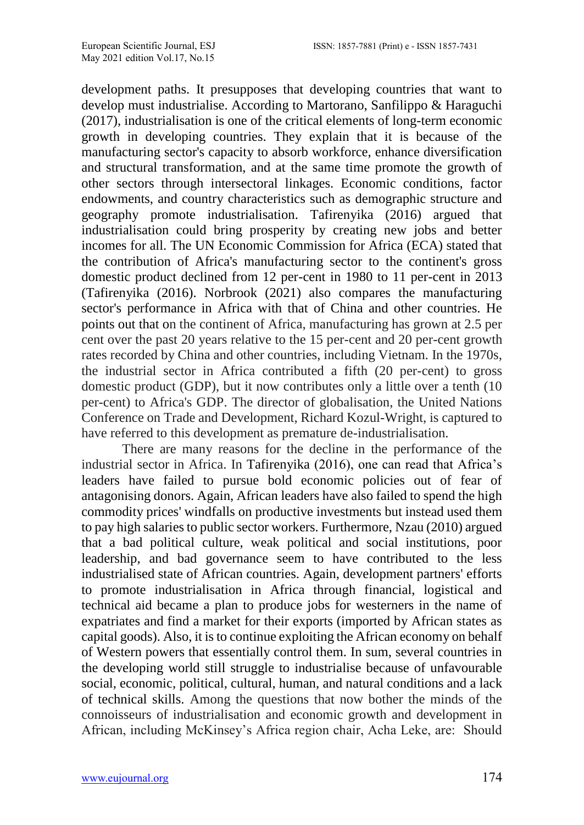development paths. It presupposes that developing countries that want to develop must industrialise. According to Martorano, Sanfilippo & Haraguchi (2017), industrialisation is one of the critical elements of long-term economic growth in developing countries. They explain that it is because of the manufacturing sector's capacity to absorb workforce, enhance diversification and structural transformation, and at the same time promote the growth of other sectors through intersectoral linkages. Economic conditions, factor endowments, and country characteristics such as demographic structure and geography promote industrialisation. [Tafirenyika](https://www.un.org/africarenewal/author/masimba-tafirenyika) (2016) argued that industrialisation could bring prosperity by creating new jobs and better incomes for all. The UN Economic Commission for Africa (ECA) stated that the contribution of Africa's manufacturing sector to the continent's gross domestic product declined from 12 per-cent in 1980 to 11 per-cent in 2013 (Tafirenyika (2016). Norbrook (2021) also compares the manufacturing sector's performance in Africa with that of China and other countries. He points out that on the continent of Africa, manufacturing has grown at 2.5 per cent over the past 20 years relative to the 15 per-cent and 20 per-cent growth rates recorded by China and other countries, including Vietnam. In the 1970s, the industrial sector in Africa contributed a fifth (20 per-cent) to gross domestic product (GDP), but it now contributes only a little over a tenth (10 per-cent) to Africa's GDP. The director of globalisation, the United Nations Conference on Trade and Development, Richard Kozul-Wright, is captured to have referred to this development as premature de-industrialisation.

There are many reasons for the decline in the performance of the industrial sector in Africa. In [Tafirenyika](https://www.un.org/africarenewal/author/masimba-tafirenyika) (2016), one can read that Africa's leaders have failed to pursue bold economic policies out of fear of antagonising donors. Again, African leaders have also failed to spend the high commodity prices' windfalls on productive investments but instead used them to pay high salaries to public sector workers. Furthermore, Nzau (2010) argued that a bad political culture, weak political and social institutions, poor leadership, and bad governance seem to have contributed to the less industrialised state of African countries. Again, development partners' efforts to promote industrialisation in Africa through financial, logistical and technical aid became a plan to produce jobs for westerners in the name of expatriates and find a market for their exports (imported by African states as capital goods). Also, it is to continue exploiting the African economy on behalf of Western powers that essentially control them. In sum, several countries in the developing world still struggle to industrialise because of unfavourable social, economic, political, cultural, human, and natural conditions and a lack of technical skills. Among the questions that now bother the minds of the connoisseurs of industrialisation and economic growth and development in African, including McKinsey's Africa region chair, Acha Leke, are: Should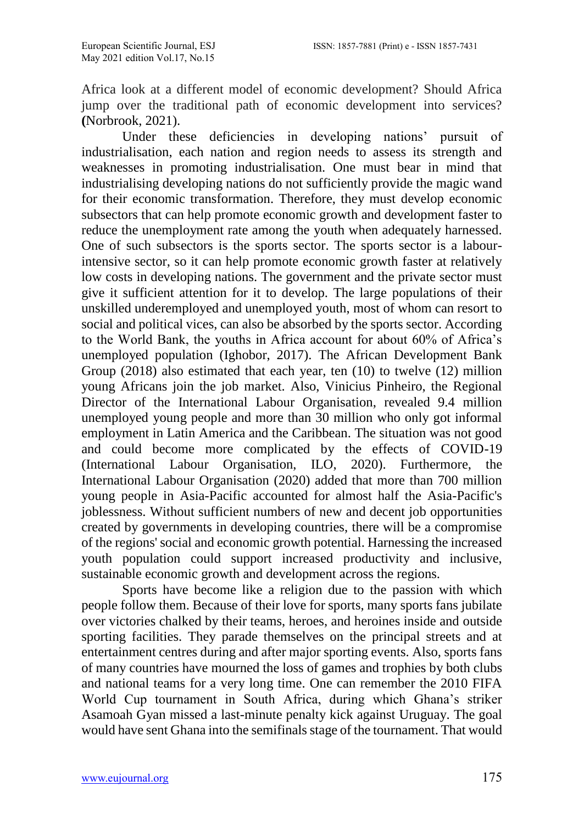Africa look at a different model of economic development? Should Africa jump over the traditional path of economic development into services? **(**Norbrook, 2021).

Under these deficiencies in developing nations' pursuit of industrialisation, each nation and region needs to assess its strength and weaknesses in promoting industrialisation. One must bear in mind that industrialising developing nations do not sufficiently provide the magic wand for their economic transformation. Therefore, they must develop economic subsectors that can help promote economic growth and development faster to reduce the unemployment rate among the youth when adequately harnessed. One of such subsectors is the sports sector. The sports sector is a labourintensive sector, so it can help promote economic growth faster at relatively low costs in developing nations. The government and the private sector must give it sufficient attention for it to develop. The large populations of their unskilled underemployed and unemployed youth, most of whom can resort to social and political vices, can also be absorbed by the sports sector. According to the World Bank, the youths in Africa account for about 60% of Africa's unemployed population (Ighobor, 2017). The African Development Bank Group  $(2018)$  also estimated that each year, ten  $(10)$  to twelve  $(12)$  million young Africans join the job market. Also, Vinicius Pinheiro, the Regional Director of the International Labour Organisation, revealed 9.4 million unemployed young people and more than 30 million who only got informal employment in Latin America and the Caribbean. The situation was not good and could become more complicated by the effects of COVID-19 (International Labour Organisation, ILO, 2020). Furthermore, the International Labour Organisation (2020) added that more than 700 million young people in Asia-Pacific accounted for almost half the Asia-Pacific's joblessness. Without sufficient numbers of new and decent job opportunities created by governments in developing countries, there will be a compromise of the regions' social and economic growth potential. Harnessing the increased youth population could support increased productivity and inclusive, sustainable economic growth and development across the regions.

Sports have become like a religion due to the passion with which people follow them. Because of their love for sports, many sports fans jubilate over victories chalked by their teams, heroes, and heroines inside and outside sporting facilities. They parade themselves on the principal streets and at entertainment centres during and after major sporting events. Also, sports fans of many countries have mourned the loss of games and trophies by both clubs and national teams for a very long time. One can remember the 2010 FIFA World Cup tournament in South Africa, during which Ghana's striker Asamoah Gyan missed a last-minute penalty kick against Uruguay. The goal would have sent Ghana into the semifinals stage of the tournament. That would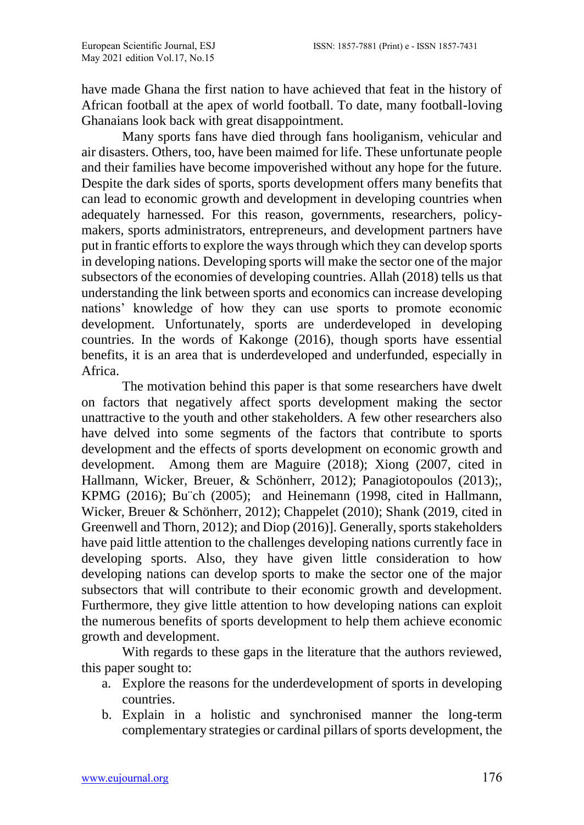have made Ghana the first nation to have achieved that feat in the history of African football at the apex of world football. To date, many football-loving Ghanaians look back with great disappointment.

Many sports fans have died through fans hooliganism, vehicular and air disasters. Others, too, have been maimed for life. These unfortunate people and their families have become impoverished without any hope for the future. Despite the dark sides of sports, sports development offers many benefits that can lead to economic growth and development in developing countries when adequately harnessed. For this reason, governments, researchers, policymakers, sports administrators, entrepreneurs, and development partners have put in frantic efforts to explore the ways through which they can develop sports in developing nations. Developing sports will make the sector one of the major subsectors of the economies of developing countries. Allah (2018) tells us that understanding the link between sports and economics can increase developing nations' knowledge of how they can use sports to promote economic development. Unfortunately, sports are underdeveloped in developing countries. In the words of [Kakonge](https://www.pambazuka.org/taxonomy/term/9676) (2016), though sports have essential benefits, it is an area that is underdeveloped and underfunded, especially in Africa.

The motivation behind this paper is that some researchers have dwelt on factors that negatively affect sports development making the sector unattractive to the youth and other stakeholders. A few other researchers also have delved into some segments of the factors that contribute to sports development and the effects of sports development on economic growth and development. Among them are Maguire (2018); Xiong (2007, cited in Hallmann, Wicker, Breuer, & Schönherr, 2012); Panagiotopoulos (2013);, KPMG (2016); Bu¨ch (2005); and Heinemann (1998, cited in Hallmann, Wicker, Breuer & Schönherr, 2012); Chappelet (2010); Shank (2019, cited in Greenwell and Thorn, 2012)[; and Diop](https://blogs.worldbank.org/team/makhtar-diop) (2016)]. Generally, sports stakeholders have paid little attention to the challenges developing nations currently face in developing sports. Also, they have given little consideration to how developing nations can develop sports to make the sector one of the major subsectors that will contribute to their economic growth and development. Furthermore, they give little attention to how developing nations can exploit the numerous benefits of sports development to help them achieve economic growth and development.

With regards to these gaps in the literature that the authors reviewed, this paper sought to:

- a. Explore the reasons for the underdevelopment of sports in developing countries.
- b. Explain in a holistic and synchronised manner the long-term complementary strategies or cardinal pillars of sports development, the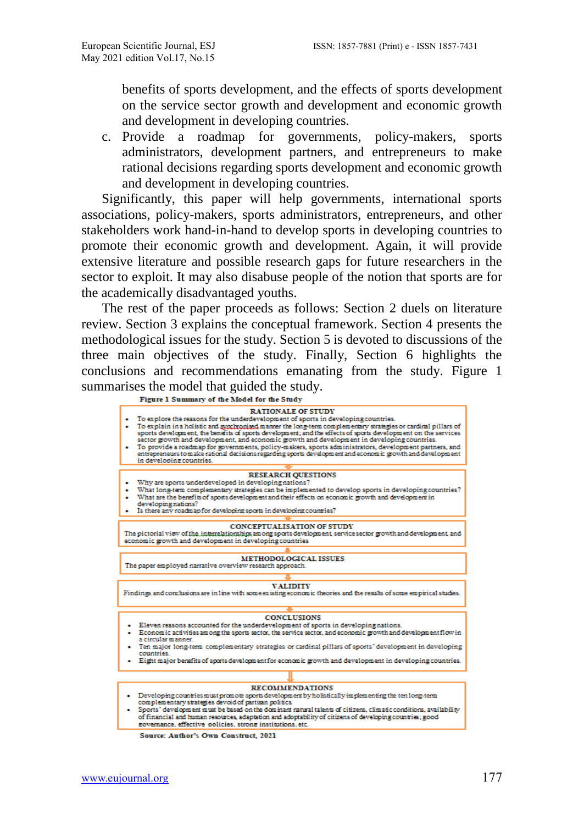benefits of sports development, and the effects of sports development on the service sector growth and development and economic growth and development in developing countries.

c. Provide a roadmap for governments, policy-makers, sports administrators, development partners, and entrepreneurs to make rational decisions regarding sports development and economic growth and development in developing countries.

Significantly, this paper will help governments, international sports associations, policy-makers, sports administrators, entrepreneurs, and other stakeholders work hand-in-hand to develop sports in developing countries to promote their economic growth and development. Again, it will provide extensive literature and possible research gaps for future researchers in the sector to exploit. It may also disabuse people of the notion that sports are for the academically disadvantaged youths.

The rest of the paper proceeds as follows: Section 2 duels on literature review. Section 3 explains the conceptual framework. Section 4 presents the methodological issues for the study. Section 5 is devoted to discussions of the three main objectives of the study. Finally, Section 6 highlights the conclusions and recommendations emanating from the study. Figure 1 summarises the model that guided the study.<br>Figure 1 Summary of the Model for the Study



Source: Author's Own Construct, 2021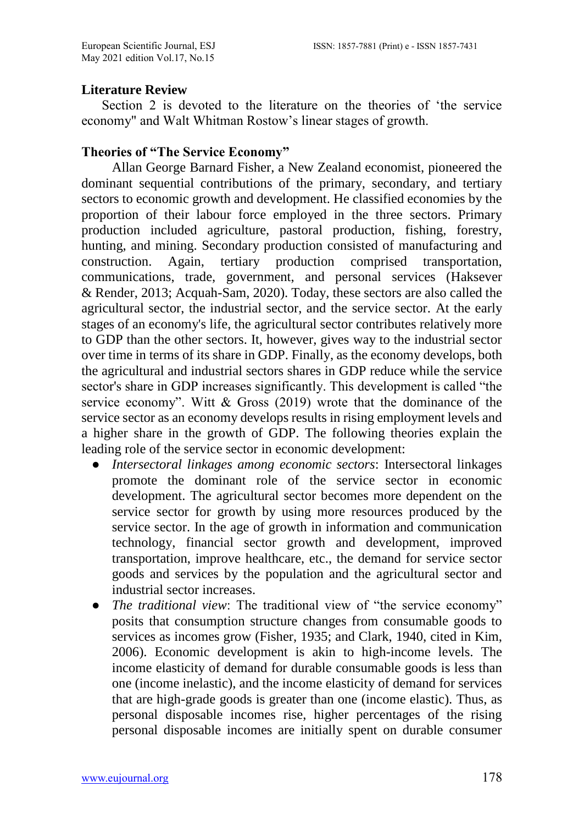#### **Literature Review**

Section 2 is devoted to the literature on the theories of 'the service economy" and Walt Whitman Rostow's linear stages of growth.

#### **Theories of "The Service Economy"**

Allan George Barnard Fisher, a New Zealand economist, pioneered the dominant sequential contributions of the primary, secondary, and tertiary sectors to economic growth and development. He classified economies by the proportion of their labour force employed in the three sectors. Primary production included agriculture, pastoral production, fishing, forestry, hunting, and mining. Secondary production consisted of manufacturing and construction. Again, tertiary production comprised transportation, communications, trade, government, and personal services [\(Haksever](https://www.informit.com/authors/bio/e816641f-482d-4f25-908a-94e3f52c4990) & [Render,](https://www.informit.com/authors/bio/0c66483a-cd0c-4d7d-b72e-8f11d813e928) 2013; Acquah-Sam, 2020). Today, these sectors are also called the agricultural sector, the industrial sector, and the service sector. At the early stages of an economy's life, the agricultural sector contributes relatively more to GDP than the other sectors. It, however, gives way to the industrial sector over time in terms of its share in GDP. Finally, as the economy develops, both the agricultural and industrial sectors shares in GDP reduce while the service sector's share in GDP increases significantly. This development is called "the service economy". Witt  $\&$  Gross (2019) wrote that the dominance of the service sector as an economy develops results in rising employment levels and a higher share in the growth of GDP. The following theories explain the leading role of the service sector in economic development:

- *Intersectoral linkages among economic sectors*: Intersectoral linkages promote the dominant role of the service sector in economic development. The agricultural sector becomes more dependent on the service sector for growth by using more resources produced by the service sector. In the age of growth in information and communication technology, financial sector growth and development, improved transportation, improve healthcare, etc., the demand for service sector goods and services by the population and the agricultural sector and industrial sector increases.
- *The traditional view*: The traditional view of "the service economy" posits that consumption structure changes from consumable goods to services as incomes grow (Fisher, 1935; and Clark, 1940, cited in Kim, 2006). Economic development is akin to high-income levels. The income elasticity of demand for durable consumable goods is less than one (income inelastic), and the income elasticity of demand for services that are high-grade goods is greater than one (income elastic). Thus, as personal disposable incomes rise, higher percentages of the rising personal disposable incomes are initially spent on durable consumer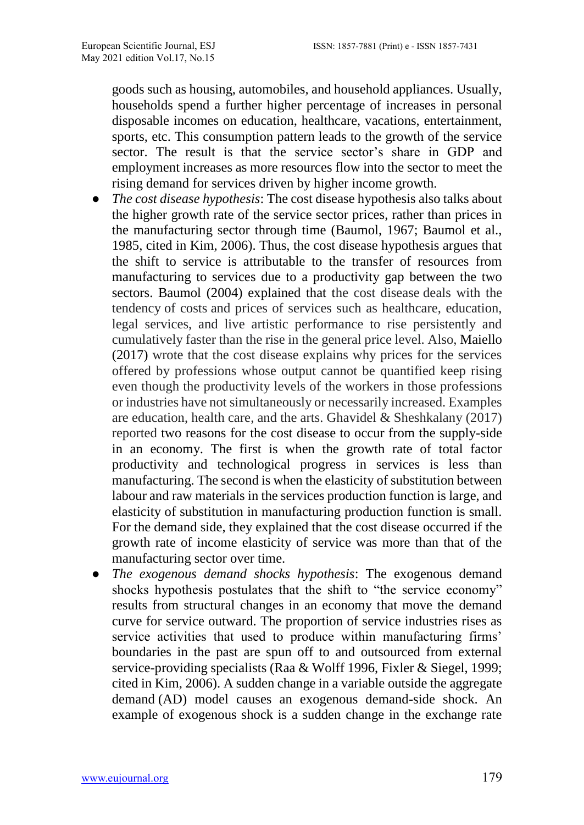goods such as housing, automobiles, and household appliances. Usually, households spend a further higher percentage of increases in personal disposable incomes on education, healthcare, vacations, entertainment, sports, etc. This consumption pattern leads to the growth of the service sector. The result is that the service sector's share in GDP and employment increases as more resources flow into the sector to meet the rising demand for services driven by higher income growth.

- *The cost disease hypothesis*: The cost disease hypothesis also talks about the higher growth rate of the service sector prices, rather than prices in the manufacturing sector through time (Baumol, 1967; Baumol et al., 1985, cited in Kim, 2006). Thus, the cost disease hypothesis argues that the shift to service is attributable to the transfer of resources from manufacturing to services due to a productivity gap between the two sectors. Baumol (2004) explained that the cost disease deals with the tendency of costs and prices of services such as healthcare, education, legal services, and live artistic performance to rise persistently and cumulatively faster than the rise in the general price level. Also, Maiello (2017) wrote that the cost disease explains why prices for the services offered by professions whose output cannot be quantified keep rising even though the productivity levels of the workers in those professions or industries have not simultaneously or necessarily increased. Examples are education, health care, and the arts. Ghavidel & Sheshkalany (2017) reported two reasons for the cost disease to occur from the supply-side in an economy. The first is when the growth rate of total factor productivity and technological progress in services is less than manufacturing. The second is when the elasticity of substitution between labour and raw materials in the services production function is large, and elasticity of substitution in manufacturing production function is small. For the demand side, they explained that the cost disease occurred if the growth rate of income elasticity of service was more than that of the manufacturing sector over time.
- *The exogenous demand shocks hypothesis*: The exogenous demand shocks hypothesis postulates that the shift to "the service economy" results from structural changes in an economy that move the demand curve for service outward. The proportion of service industries rises as service activities that used to produce within manufacturing firms' boundaries in the past are spun off to and outsourced from external service-providing specialists (Raa & Wolff 1996, Fixler & Siegel, 1999; cited in Kim, 2006). A sudden change in a variable outside the [aggregate](https://www.economicsonline.co.uk/Managing_the_economy/Aggregate_demand.html)  [demand](https://www.economicsonline.co.uk/Managing_the_economy/Aggregate_demand.html) (AD) model causes an exogenous demand-side shock. An example of exogenous shock is a sudden change in the exchange rate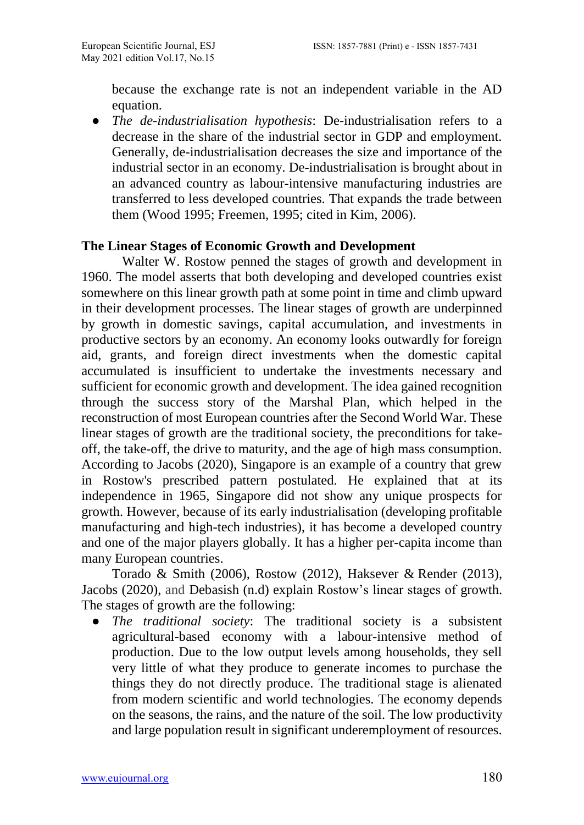because the exchange rate is not an independent variable in the AD equation.

● *The de-industrialisation hypothesis*: De-industrialisation refers to a decrease in the share of the industrial sector in GDP and employment. Generally, de-industrialisation decreases the size and importance of the industrial sector in an economy. De-industrialisation is brought about in an advanced country as labour-intensive manufacturing industries are transferred to less developed countries. That expands the trade between them (Wood 1995; Freemen, 1995; cited in Kim, 2006).

#### **The Linear Stages of Economic Growth and Development**

Walter W. Rostow penned the stages of growth and development in 1960. The model asserts that both developing and developed countries exist somewhere on this linear growth path at some point in time and climb upward in their development processes. The linear stages of growth are underpinned by growth in domestic savings, capital accumulation, and investments in productive sectors by an economy. An economy looks outwardly for foreign aid, grants, and foreign direct investments when the domestic capital accumulated is insufficient to undertake the investments necessary and sufficient for economic growth and development. The idea gained recognition through the success story of the Marshal Plan, which helped in the reconstruction of most European countries after the Second World War. These linear stages of growth are the traditional society, the preconditions for takeoff, the take-off, the drive to maturity, and the age of high mass consumption. According to Jacobs (2020), Singapore is an example of a country that grew in Rostow's prescribed pattern postulated. He explained that at its independence in 1965, Singapore did not show any unique prospects for growth. However, because of its early industrialisation (developing profitable manufacturing and high-tech industries), it has become a developed country and one of the major players globally. It has a higher per-capita income than many European countries.

Torado & Smith (2006), [Rostow](https://www.cambridge.org/core/search?filters%5BauthorTerms%5D=W.%20W.%20Rostow&eventCode=SE-AU) (2012), [Haksever](https://www.informit.com/authors/bio/e816641f-482d-4f25-908a-94e3f52c4990) & [Render](https://www.informit.com/authors/bio/0c66483a-cd0c-4d7d-b72e-8f11d813e928) (2013), Jacobs (2020), and Debasish (n.d) explain Rostow's linear stages of growth. The stages of growth are the following:

● *The traditional society*: The traditional society is a subsistent agricultural-based economy with a labour-intensive method of production. Due to the low output levels among households, they sell very little of what they produce to generate incomes to purchase the things they do not directly produce. The traditional stage is alienated from modern scientific and world technologies. The economy depends on the seasons, the rains, and the nature of the soil. The low productivity and large population result in significant underemployment of resources.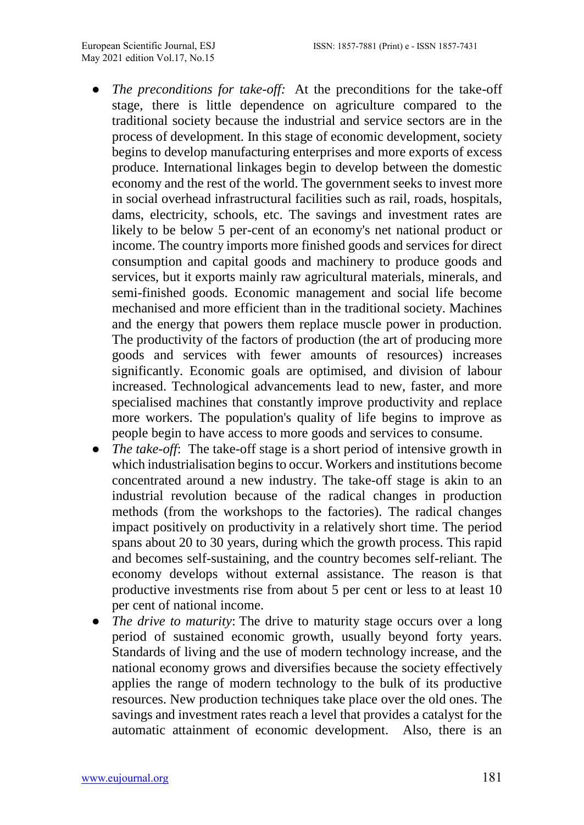- The preconditions for take-off: At the preconditions for the take-off stage, there is little dependence on agriculture compared to the traditional society because the industrial and service sectors are in the process of development. In this stage of economic development, society begins to develop manufacturing enterprises and more exports of excess produce. International linkages begin to develop between the domestic economy and the rest of the world. The government seeks to invest more in social overhead infrastructural facilities such as rail, roads, hospitals, dams, electricity, schools, etc. The savings and investment rates are likely to be below 5 per-cent of an economy's net national product or income. The country imports more finished goods and services for direct consumption and capital goods and machinery to produce goods and services, but it exports mainly raw agricultural materials, minerals, and semi-finished goods. Economic management and social life become mechanised and more efficient than in the traditional society. Machines and the energy that powers them replace muscle power in production. The productivity of the factors of production (the art of producing more goods and services with fewer amounts of resources) increases significantly. Economic goals are optimised, and division of labour increased. Technological advancements lead to new, faster, and more specialised machines that constantly improve productivity and replace more workers. The population's quality of life begins to improve as people begin to have access to more goods and services to consume.
- *The take-off*: The take-off stage is a short period of intensive growth in which industrialisation begins to occur. Workers and institutions become concentrated around a new industry. The take-off stage is akin to an industrial revolution because of the radical changes in production methods (from the workshops to the factories). The radical changes impact positively on productivity in a relatively short time. The period spans about 20 to 30 years, during which the growth process. This rapid and becomes self-sustaining, and the country becomes self-reliant. The economy develops without external assistance. The reason is that productive investments rise from about 5 per cent or less to at least 10 per cent of national income.
- *The drive to maturity*: The drive to maturity stage occurs over a long period of sustained economic growth, usually beyond forty years. Standards of living and the use of modern technology increase, and the national economy grows and diversifies because the society effectively applies the range of modern technology to the bulk of its productive resources. New production techniques take place over the old ones. The savings and investment rates reach a level that provides a catalyst for the automatic attainment of economic development. Also, there is an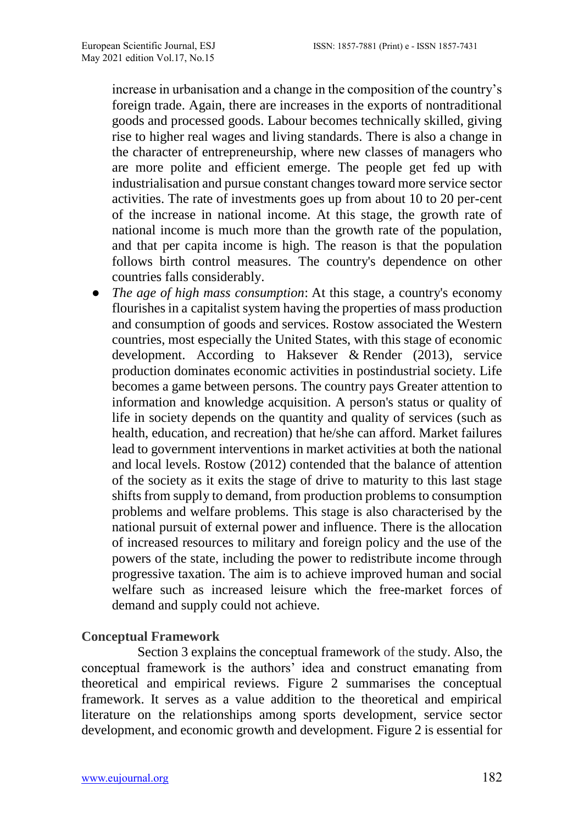increase in urbanisation and a change in the composition of the country's foreign trade. Again, there are increases in the exports of nontraditional goods and processed goods. Labour becomes technically skilled, giving rise to higher real wages and living standards. There is also a change in the character of entrepreneurship, where new classes of managers who are more polite and efficient emerge. The people get fed up with industrialisation and pursue constant changes toward more service sector activities. The rate of investments goes up from about 10 to 20 per-cent of the increase in national income. At this stage, the growth rate of national income is much more than the growth rate of the population, and that per capita income is high. The reason is that the population follows birth control measures. The country's dependence on other countries falls considerably.

● *The age of high mass consumption*: At this stage, a country's economy flourishes in a [capitalist system](https://www.thoughtco.com/capitalism-definition-p2-3026124) having the properties of mass production and consumption of goods and services. Rostow associated the Western countries, most especially the United States, with this stage of economic development. According to [Haksever](https://www.informit.com/authors/bio/e816641f-482d-4f25-908a-94e3f52c4990) & [Render](https://www.informit.com/authors/bio/0c66483a-cd0c-4d7d-b72e-8f11d813e928) (2013), service production dominates economic activities in postindustrial society. Life becomes a game between persons. The country pays Greater attention to information and knowledge acquisition. A person's status or quality of life in society depends on the quantity and quality of services (such as health, education, and recreation) that he/she can afford. Market failures lead to government interventions in market activities at both the national and local levels. [Rostow](https://www.cambridge.org/core/search?filters%5BauthorTerms%5D=W.%20W.%20Rostow&eventCode=SE-AU) (2012) contended that the balance of attention of the society as it exits the stage of drive to maturity to this last stage shifts from supply to demand, from production problems to consumption problems and welfare problems. This stage is also characterised by the national pursuit of external power and influence. There is the allocation of increased resources to military and foreign policy and the use of the powers of the state, including the power to redistribute income through progressive taxation. The aim is to achieve improved human and social welfare such as increased leisure which the free-market forces of demand and supply could not achieve.

#### **Conceptual Framework**

Section 3 explains the conceptual framework of the study. Also, the conceptual framework is the authors' idea and construct emanating from theoretical and empirical reviews. Figure 2 summarises the conceptual framework. It serves as a value addition to the theoretical and empirical literature on the relationships among sports development, service sector development, and economic growth and development. Figure 2 is essential for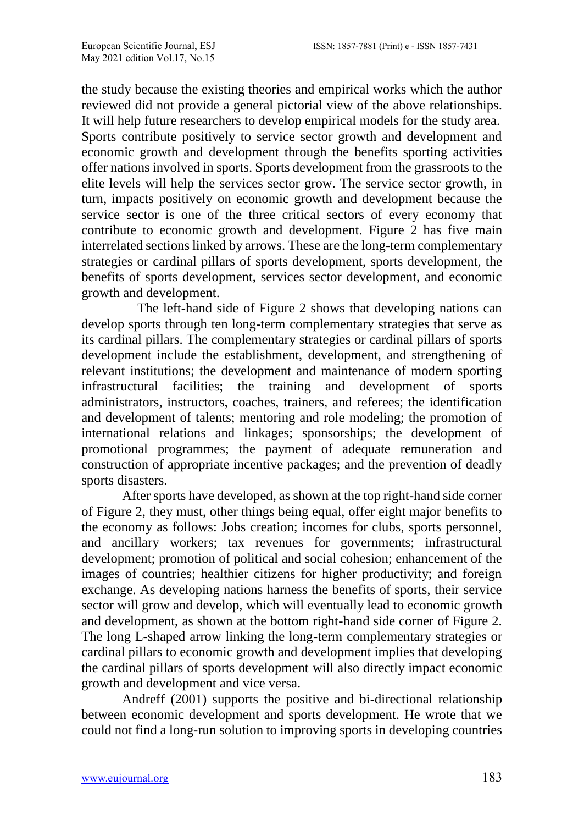the study because the existing theories and empirical works which the author reviewed did not provide a general pictorial view of the above relationships. It will help future researchers to develop empirical models for the study area. Sports contribute positively to service sector growth and development and economic growth and development through the benefits sporting activities offer nations involved in sports. Sports development from the grassroots to the elite levels will help the services sector grow. The service sector growth, in turn, impacts positively on economic growth and development because the service sector is one of the three critical sectors of every economy that contribute to economic growth and development. Figure 2 has five main interrelated sections linked by arrows. These are the long-term complementary strategies or cardinal pillars of sports development, sports development, the benefits of sports development, services sector development, and economic growth and development.

The left-hand side of Figure 2 shows that developing nations can develop sports through ten long-term complementary strategies that serve as its cardinal pillars. The complementary strategies or cardinal pillars of sports development include the establishment, development, and strengthening of relevant institutions; the development and maintenance of modern sporting infrastructural facilities; the training and development of sports administrators, instructors, coaches, trainers, and referees; the identification and development of talents; mentoring and role modeling; the promotion of international relations and linkages; sponsorships; the development of promotional programmes; the payment of adequate remuneration and construction of appropriate incentive packages; and the prevention of deadly sports disasters.

After sports have developed, as shown at the top right-hand side corner of Figure 2, they must, other things being equal, offer eight major benefits to the economy as follows: Jobs creation; incomes for clubs, sports personnel, and ancillary workers; tax revenues for governments; infrastructural development; promotion of political and social cohesion; enhancement of the images of countries; healthier citizens for higher productivity; and foreign exchange. As developing nations harness the benefits of sports, their service sector will grow and develop, which will eventually lead to economic growth and development, as shown at the bottom right-hand side corner of Figure 2. The long L-shaped arrow linking the long-term complementary strategies or cardinal pillars to economic growth and development implies that developing the cardinal pillars of sports development will also directly impact economic growth and development and vice versa.

Andreff (2001) supports the positive and bi-directional relationship between economic development and sports development. He wrote that we could not find a long-run solution to improving sports in developing countries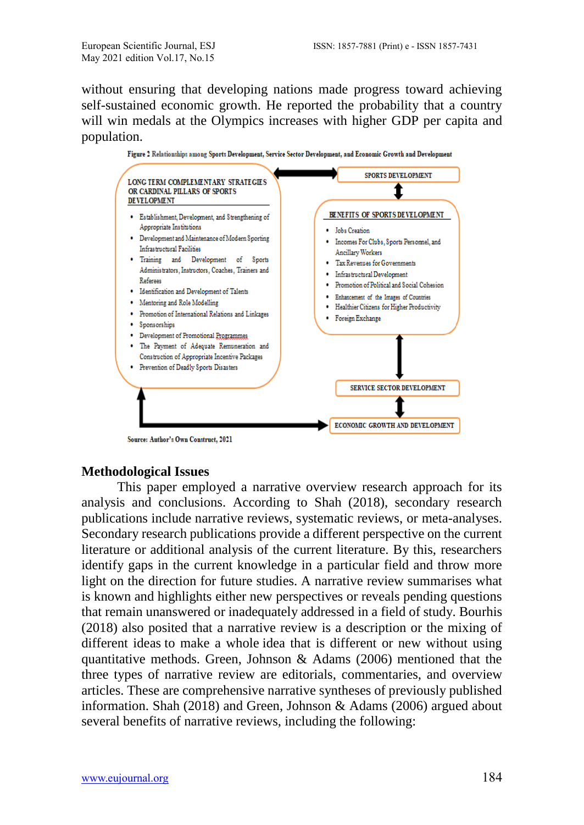without ensuring that developing nations made progress toward achieving self-sustained economic growth. He reported the probability that a country will win medals at the Olympics increases with higher GDP per capita and population.



Figure 2 Relationships among Sports Development, Service Sector Development, and Economic Growth and Development

#### **Methodological Issues**

This paper employed a narrative overview research approach for its analysis and conclusions. According to Shah (2018), secondary research publications include narrative reviews, systematic reviews, or meta-analyses. Secondary research publications provide a different perspective on the current literature or additional analysis of the current literature. By this, researchers identify gaps in the current knowledge in a particular field and throw more light on the direction for future studies. A narrative review summarises what is known and highlights either new perspectives or reveals pending questions that remain unanswered or inadequately addressed in a field of study. Bourhis (2018) also posited that a narrative review is a description or the mixing of different ideas to make a whole idea that is different or new without using quantitative methods. Green, Johnson & Adams (2006) mentioned that the three types of narrative review are editorials, commentaries, and overview articles. These are comprehensive narrative syntheses of previously published information. Shah (2018) and Green, Johnson & Adams (2006) argued about several benefits of narrative reviews, including the following: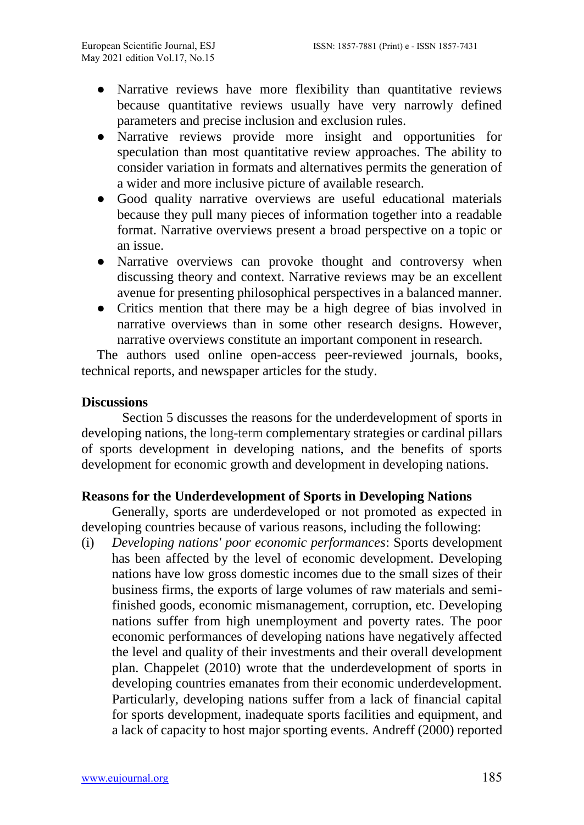- Narrative reviews have more flexibility than quantitative reviews because quantitative reviews usually have very narrowly defined parameters and precise inclusion and exclusion rules.
- Narrative reviews provide more insight and opportunities for speculation than most quantitative review approaches. The ability to consider variation in formats and alternatives permits the generation of a wider and more inclusive picture of available research.
- Good quality narrative overviews are useful educational materials because they pull many pieces of information together into a readable format. Narrative overviews present a broad perspective on a topic or an issue.
- Narrative overviews can provoke thought and controversy when discussing theory and context. Narrative reviews may be an excellent avenue for presenting philosophical perspectives in a balanced manner.
- Critics mention that there may be a high degree of bias involved in narrative overviews than in some other research designs. However, narrative overviews constitute an important component in research.

The authors used online open-access peer-reviewed journals, books, technical reports, and newspaper articles for the study.

### **Discussions**

Section 5 discusses the reasons for the underdevelopment of sports in developing nations, the long-term complementary strategies or cardinal pillars of sports development in developing nations, and the benefits of sports development for economic growth and development in developing nations.

#### **Reasons for the Underdevelopment of Sports in Developing Nations**

Generally, sports are underdeveloped or not promoted as expected in developing countries because of various reasons, including the following:

(i) *Developing nations' poor economic performances*: Sports development has been affected by the level of economic development. Developing nations have low gross domestic incomes due to the small sizes of their business firms, the exports of large volumes of raw materials and semifinished goods, economic mismanagement, corruption, etc. Developing nations suffer from high unemployment and poverty rates. The poor economic performances of developing nations have negatively affected the level and quality of their investments and their overall development plan. Chappelet (2010) wrote that the underdevelopment of sports in developing countries emanates from their economic underdevelopment. Particularly, developing nations suffer from a lack of financial capital for sports development, inadequate sports facilities and equipment, and a lack of capacity to host major sporting events. [Andreff](https://www.playthegame.org/authorlist/?author=20999) (2000) reported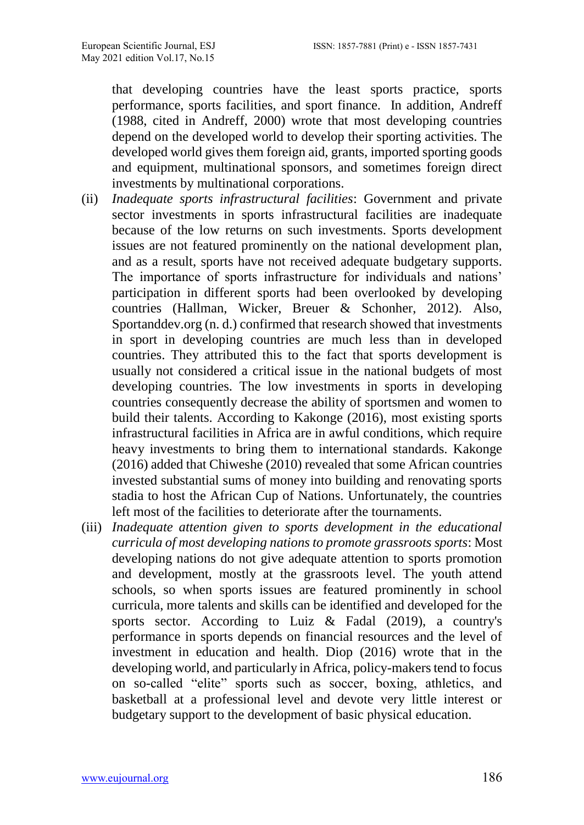that developing countries have the least sports practice, sports performance, sports facilities, and sport finance. In addition, Andreff (1988, cited in [Andreff,](https://www.playthegame.org/authorlist/?author=20999) 2000) wrote that most developing countries depend on the developed world to develop their sporting activities. The developed world gives them foreign aid, grants, imported sporting goods and equipment, multinational sponsors, and sometimes foreign direct investments by multinational corporations.

- (ii) *Inadequate sports infrastructural facilities*: Government and private sector investments in sports infrastructural facilities are inadequate because of the low returns on such investments. Sports development issues are not featured prominently on the national development plan, and as a result, sports have not received adequate budgetary supports. The importance of sports infrastructure for individuals and nations' participation in different sports had been overlooked by developing countries (Hallman, Wicker, Breuer & Schonher, 2012). Also, Sportanddev.org (n. d.) confirmed that research showed that investments in sport in developing countries are much less than in developed countries. They attributed this to the fact that sports development is usually not considered a critical issue in the national budgets of most developing countries. The low investments in sports in developing countries consequently decrease the ability of sportsmen and women to build their talents. According to [Kakonge](https://www.pambazuka.org/taxonomy/term/9676) (2016), most existing sports infrastructural facilities in Africa are in awful conditions, which require heavy investments to bring them to international standards. [Kakonge](https://www.pambazuka.org/taxonomy/term/9676) (2016) added that Chiweshe (2010) revealed that some African countries invested substantial sums of money into building and renovating sports stadia to host the African Cup of Nations. Unfortunately, the countries left most of the facilities to deteriorate after the tournaments.
- (iii) *Inadequate attention given to sports development in the educational curricula of most developing nations to promote grassroots sports*: Most developing nations do not give adequate attention to sports promotion and development, mostly at the grassroots level. The youth attend schools, so when sports issues are featured prominently in school curricula, more talents and skills can be identified and developed for the sports sector. According to Luiz & Fadal (2019), a country's performance in sports depends on financial resources and the level of investment in education and health. [Diop](https://blogs.worldbank.org/team/makhtar-diop) (2016) wrote that in the developing world, and particularly in Africa, policy-makers tend to focus on so-called "elite" sports such as soccer, boxing, athletics, and basketball at a professional level and devote very little interest or budgetary support to the development of basic physical education.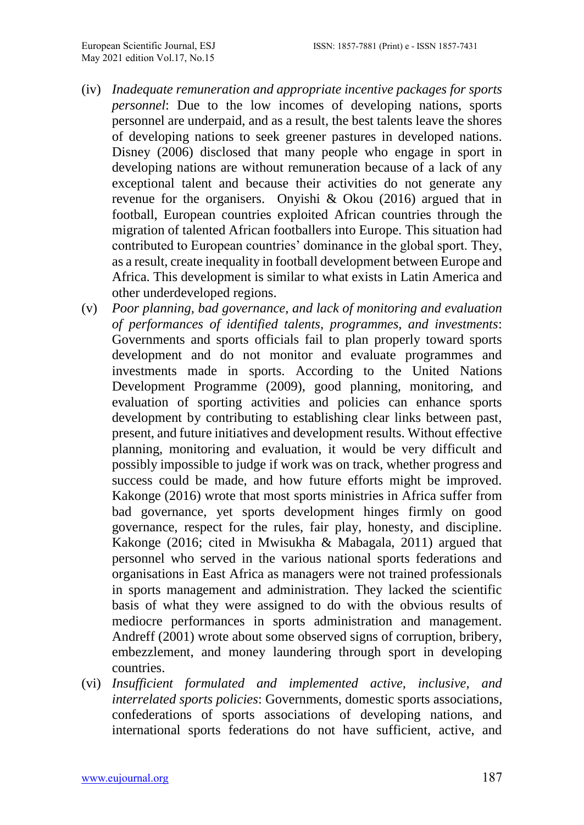- (iv) *Inadequate remuneration and appropriate incentive packages for sports personnel*: Due to the low incomes of developing nations, sports personnel are underpaid, and as a result, the best talents leave the shores of developing nations to seek greener pastures in developed nations. Disney (2006) disclosed that many people who engage in sport in developing nations are without remuneration because of a lack of any exceptional talent and because their activities do not generate any revenue for the organisers. Onyishi & Okou (2016) argued that in football, European countries exploited African countries through the migration of talented African footballers into Europe. This situation had contributed to European countries' dominance in the global sport. They, as a result, create inequality in football development between Europe and Africa. This development is similar to what exists in Latin America and other underdeveloped regions.
- (v) *Poor planning, bad governance, and lack of monitoring and evaluation of performances of identified talents, programmes, and investments*: Governments and sports officials fail to plan properly toward sports development and do not monitor and evaluate programmes and investments made in sports. According to the United Nations Development Programme (2009), good planning, monitoring, and evaluation of sporting activities and policies can enhance sports development by contributing to establishing clear links between past, present, and future initiatives and development results. Without effective planning, monitoring and evaluation, it would be very difficult and possibly impossible to judge if work was on track, whether progress and success could be made, and how future efforts might be improved. [Kakonge](https://www.pambazuka.org/taxonomy/term/9676) (2016) wrote that most sports ministries in Africa suffer from bad governance, yet sports development hinges firmly on good governance, respect for the rules, fair play, honesty, and discipline. [Kakonge](https://www.pambazuka.org/taxonomy/term/9676) (2016; cited in Mwisukha & Mabagala, 2011) argued that personnel who served in the various national sports federations and organisations in East Africa as managers were not trained professionals in sports management and administration. They lacked the scientific basis of what they were assigned to do with the obvious results of mediocre performances in sports administration and management. Andreff (2001) wrote about some observed signs of corruption, bribery, embezzlement, and money laundering through sport in developing countries.
- (vi) *Insufficient formulated and implemented active, inclusive, and interrelated sports policies*: Governments, domestic sports associations, confederations of sports associations of developing nations, and international sports federations do not have sufficient, active, and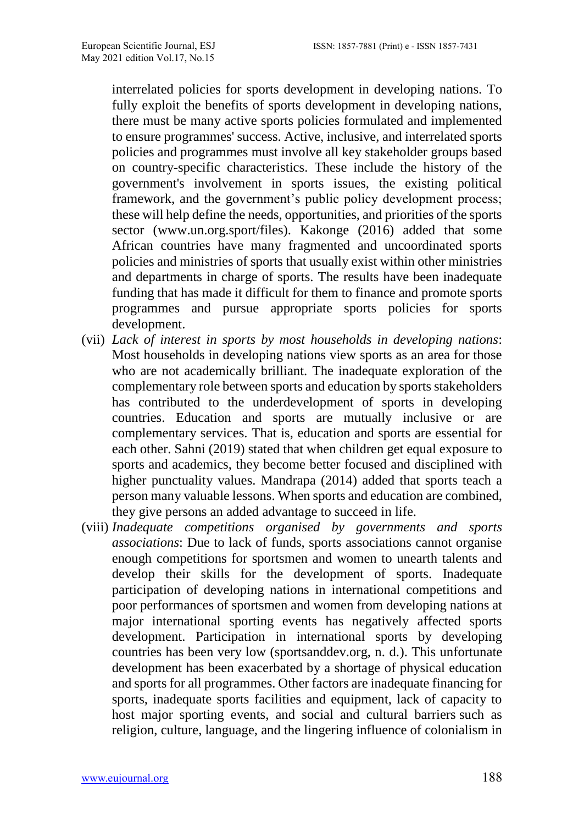interrelated policies for sports development in developing nations. To fully exploit the benefits of sports development in developing nations, there must be many active sports policies formulated and implemented to ensure programmes' success. Active, inclusive, and interrelated sports policies and programmes must involve all key stakeholder groups based on country-specific characteristics. These include the history of the government's involvement in sports issues, the existing political framework, and the government's public policy development process; these will help define the needs, opportunities, and priorities of the sports sector (www.un.org.sport/files). [Kakonge](https://www.pambazuka.org/taxonomy/term/9676) (2016) added that some African countries have many fragmented and uncoordinated sports policies and ministries of sports that usually exist within other ministries and departments in charge of sports. The results have been inadequate funding that has made it difficult for them to finance and promote sports programmes and pursue appropriate sports policies for sports development.

- (vii) *Lack of interest in sports by most households in developing nations*: Most households in developing nations view sports as an area for those who are not academically brilliant. The inadequate exploration of the complementary role between sports and education by sports stakeholders has contributed to the underdevelopment of sports in developing countries. Education and sports are mutually inclusive or are complementary services. That is, education and sports are essential for each other. [Sahni](http://bweducation.businessworld.in/author/Guest-Author/Dr-Vinay-Sahni-87059) (2019) stated that when children get equal exposure to sports and academics, they become better focused and disciplined with higher punctuality values. [Mandrapa](https://novakdjokovicfoundation.org/author/nebojsa-mandrapa/) (2014) added that sports teach a person many valuable lessons. When sports and education are combined, they give persons an added advantage to succeed in life.
- (viii) *Inadequate competitions organised by governments and sports associations*: Due to lack of funds, sports associations cannot organise enough competitions for sportsmen and women to unearth talents and develop their skills for the development of sports. Inadequate participation of developing nations in international competitions and poor performances of sportsmen and women from developing nations at major international sporting events has negatively affected sports development. Participation in international sports by developing countries has been very low (sportsanddev.org, n. d.). This unfortunate development has been exacerbated by a shortage of physical education and sports for all programmes. Other factors are inadequate financing for sports, inadequate sports facilities and equipment, lack of capacity to host major sporting events, and social and cultural barriers such as religion, culture, language, and the lingering influence of colonialism in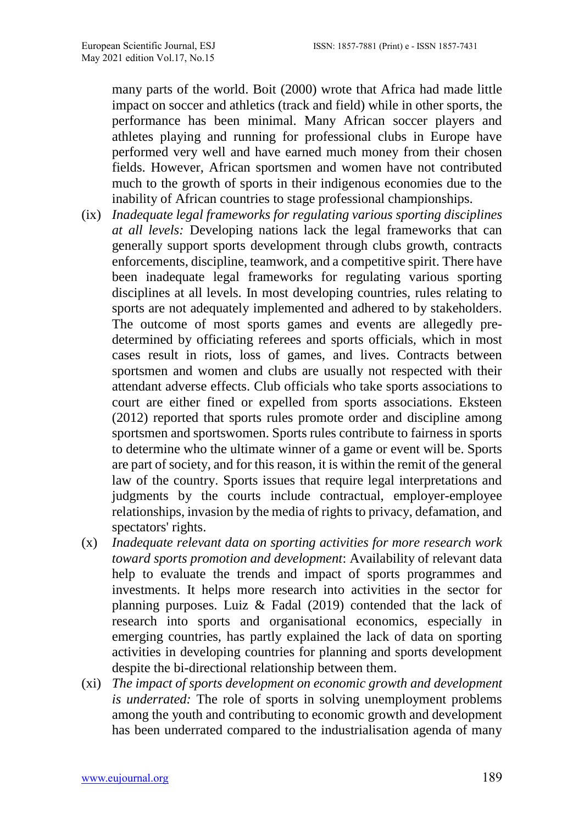many parts of the world. [Boit](https://www.playthegame.org/authorlist/?author=20968) (2000) wrote that Africa had made little impact on soccer and athletics (track and field) while in other sports, the performance has been minimal. Many African soccer players and athletes playing and running for professional clubs in Europe have performed very well and have earned much money from their chosen fields. However, African sportsmen and women have not contributed much to the growth of sports in their indigenous economies due to the inability of African countries to stage professional championships.

- (ix) *Inadequate legal frameworks for regulating various sporting disciplines at all levels:* Developing nations lack the legal frameworks that can generally support sports development through clubs growth, contracts enforcements, discipline, teamwork, and a competitive spirit. There have been inadequate legal frameworks for regulating various sporting disciplines at all levels. In most developing countries, rules relating to sports are not adequately implemented and adhered to by stakeholders. The outcome of most sports games and events are allegedly predetermined by officiating referees and sports officials, which in most cases result in riots, loss of games, and lives. Contracts between sportsmen and women and clubs are usually not respected with their attendant adverse effects. Club officials who take sports associations to court are either fined or expelled from sports associations. Eksteen (2012) reported that sports rules promote order and discipline among sportsmen and sportswomen. Sports rules contribute to fairness in sports to determine who the ultimate winner of a game or event will be. Sports are part of society, and for this reason, it is within the remit of the general law of the country. Sports issues that require legal interpretations and judgments by the courts include contractual, employer-employee relationships, invasion by the media of rights to privacy, defamation, and spectators' rights.
- (x) *Inadequate relevant data on sporting activities for more research work toward sports promotion and development*: Availability of relevant data help to evaluate the trends and impact of sports programmes and investments. It helps more research into activities in the sector for planning purposes. Luiz & Fadal (2019) contended that the lack of research into sports and organisational economics, especially in emerging countries, has partly explained the lack of data on sporting activities in developing countries for planning and sports development despite the bi-directional relationship between them.
- (xi) *The impact of sports development on economic growth and development is underrated:* The role of sports in solving unemployment problems among the youth and contributing to economic growth and development has been underrated compared to the industrialisation agenda of many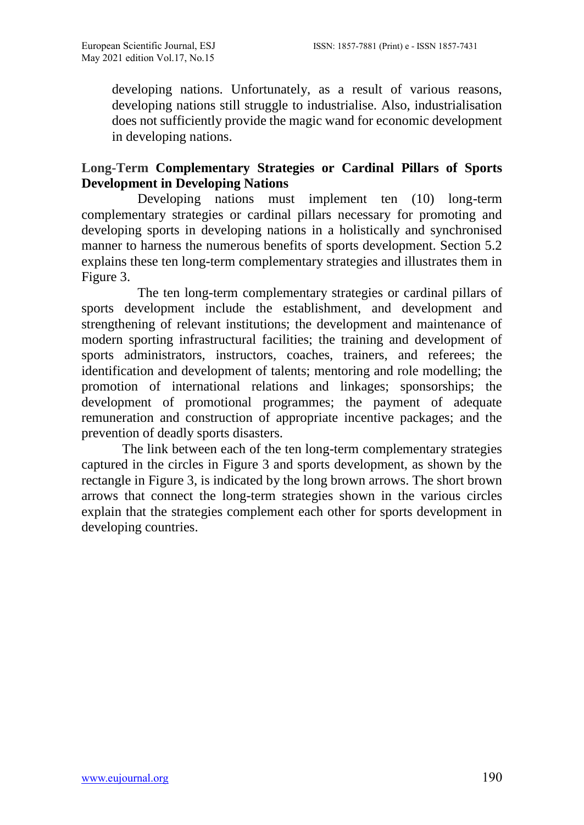developing nations. Unfortunately, as a result of various reasons, developing nations still struggle to industrialise. Also, industrialisation does not sufficiently provide the magic wand for economic development in developing nations.

## **Long-Term Complementary Strategies or Cardinal Pillars of Sports Development in Developing Nations**

Developing nations must implement ten (10) long-term complementary strategies or cardinal pillars necessary for promoting and developing sports in developing nations in a holistically and synchronised manner to harness the numerous benefits of sports development. Section 5.2 explains these ten long-term complementary strategies and illustrates them in Figure 3.

The ten long-term complementary strategies or cardinal pillars of sports development include the establishment, and development and strengthening of relevant institutions; the development and maintenance of modern sporting infrastructural facilities; the training and development of sports administrators, instructors, coaches, trainers, and referees; the identification and development of talents; mentoring and role modelling; the promotion of international relations and linkages; sponsorships; the development of promotional programmes; the payment of adequate remuneration and construction of appropriate incentive packages; and the prevention of deadly sports disasters.

The link between each of the ten long-term complementary strategies captured in the circles in Figure 3 and sports development, as shown by the rectangle in Figure 3, is indicated by the long brown arrows. The short brown arrows that connect the long-term strategies shown in the various circles explain that the strategies complement each other for sports development in developing countries.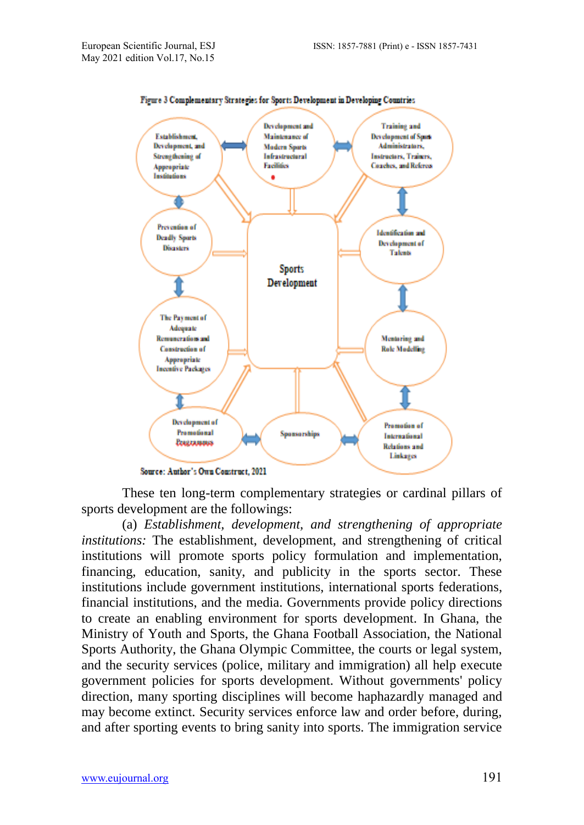

Figure 3 Complementary Strategies for Sports Development in Developing Countries

These ten long-term complementary strategies or cardinal pillars of sports development are the followings:

(a) *Establishment, development, and strengthening of appropriate institutions:* The establishment, development, and strengthening of critical institutions will promote sports policy formulation and implementation, financing, education, sanity, and publicity in the sports sector. These institutions include government institutions, international sports federations, financial institutions, and the media. Governments provide policy directions to create an enabling environment for sports development. In Ghana, the Ministry of Youth and Sports, the Ghana Football Association, the National Sports Authority, the Ghana Olympic Committee, the courts or legal system, and the security services (police, military and immigration) all help execute government policies for sports development. Without governments' policy direction, many sporting disciplines will become haphazardly managed and may become extinct. Security services enforce law and order before, during, and after sporting events to bring sanity into sports. The immigration service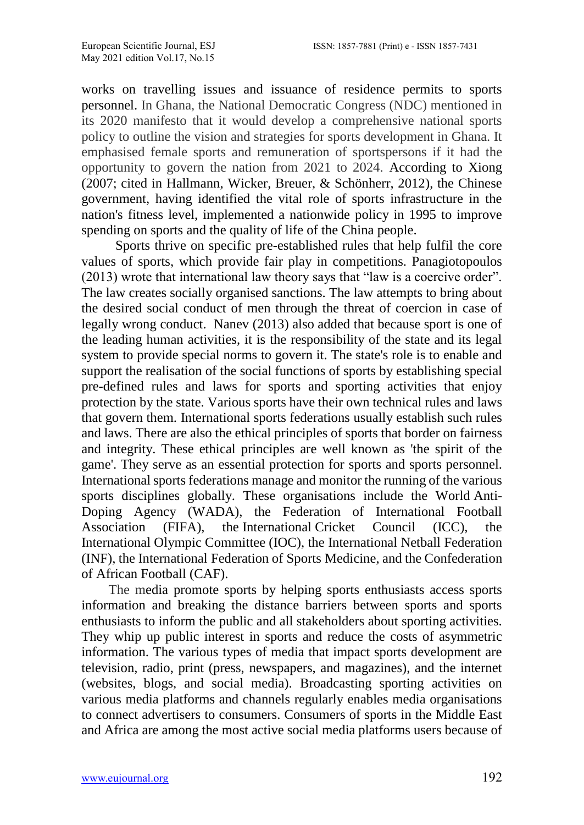works on travelling issues and issuance of residence permits to sports personnel. In Ghana, the National Democratic Congress (NDC) mentioned in its 2020 manifesto that it would develop a comprehensive national sports policy to outline the vision and strategies for sports development in Ghana. It emphasised female sports and remuneration of sportspersons if it had the opportunity to govern the nation from 2021 to 2024. According to Xiong (2007; cited in Hallmann, Wicker, Breuer, & Schönherr, 2012), the Chinese government, having identified the vital role of sports infrastructure in the nation's fitness level, implemented a nationwide policy in 1995 to improve spending on sports and the quality of life of the China people.

 Sports thrive on specific pre-established rules that help fulfil the core values of sports, which provide fair play in competitions. Panagiotopoulos (2013) wrote that international law theory says that "law is a coercive order". The law creates socially organised sanctions. The law attempts to bring about the desired social conduct of men through the threat of coercion in case of legally wrong conduct. Nanev (2013) also added that because sport is one of the leading human activities, it is the responsibility of the state and its legal system to provide special norms to govern it. The state's role is to enable and support the realisation of the social functions of sports by establishing special pre-defined rules and laws for sports and sporting activities that enjoy protection by the state. Various sports have their own technical rules and laws that govern them. International sports federations usually establish such rules and laws. There are also the ethical principles of sports that border on fairness and integrity. These ethical principles are well known as 'the spirit of the game'. They serve as an essential protection for sports and sports personnel. International sports federations manage and monitor the running of the various sports disciplines globally. These organisations include the World Anti-Doping Agency (WADA), the Federation of International Football Association (FIFA), the International Cricket Council (ICC), the International Olympic Committee (IOC), the International Netball Federation (INF), the International Federation of Sports Medicine, and the Confederation of African Football (CAF).

 The media promote sports by helping sports enthusiasts access sports information and breaking the distance barriers between sports and sports enthusiasts to inform the public and all stakeholders about sporting activities. They whip up public interest in sports and reduce the costs of asymmetric information. The various types of media that impact sports development are television, radio, print (press, newspapers, and magazines), and the internet (websites, blogs, and social media). Broadcasting sporting activities on various media platforms and channels regularly enables media organisations to connect advertisers to consumers. Consumers of sports in the Middle East and Africa are among the most active social media platforms users because of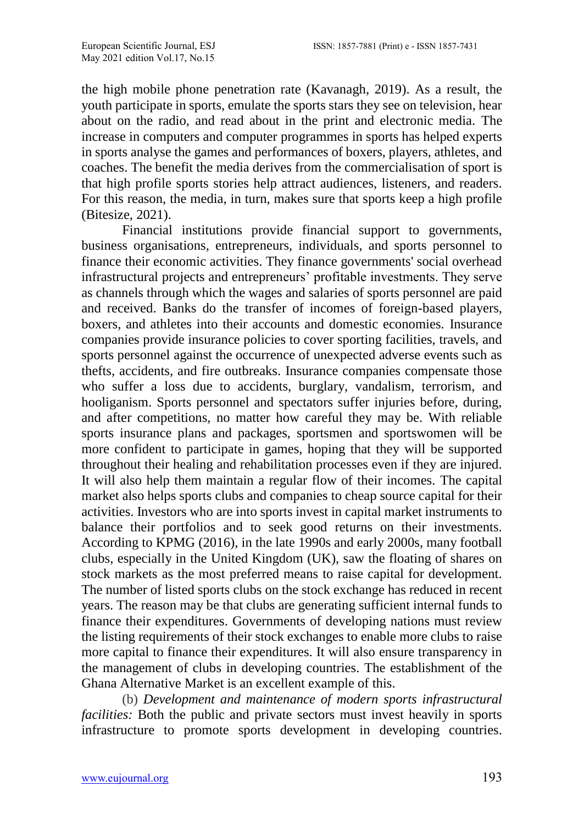the high mobile phone penetration rate [\(Kavanagh,](https://blog.globalwebindex.com/author/duncan/) 2019). As a result, the youth participate in sports, emulate the sports stars they see on television, hear about on the radio, and read about in the print and electronic media. The increase in computers and computer programmes in sports has helped experts in sports analyse the games and performances of boxers, players, athletes, and coaches. The benefit the media derives from the commercialisation of sport is that high profile sports stories help attract audiences, listeners, and readers. For this reason, the media, in turn, makes sure that sports keep a high profile (Bitesize, 2021).

Financial institutions provide financial support to governments, business organisations, entrepreneurs, individuals, and sports personnel to finance their economic activities. They finance governments' social overhead infrastructural projects and entrepreneurs' profitable investments. They serve as channels through which the wages and salaries of sports personnel are paid and received. Banks do the transfer of incomes of foreign-based players, boxers, and athletes into their accounts and domestic economies. Insurance companies provide insurance policies to cover sporting facilities, travels, and sports personnel against the occurrence of unexpected adverse events such as thefts, accidents, and fire outbreaks. Insurance companies compensate those who suffer a loss due to accidents, burglary, vandalism, terrorism, and hooliganism. Sports personnel and spectators suffer injuries before, during, and after competitions, no matter how careful they may be. With reliable sports insurance plans and packages, sportsmen and sportswomen will be more confident to participate in games, hoping that they will be supported throughout their healing and rehabilitation processes even if they are injured. It will also help them maintain a regular flow of their incomes. The capital market also helps sports clubs and companies to cheap source capital for their activities. Investors who are into sports invest in capital market instruments to balance their portfolios and to seek good returns on their investments. According to KPMG (2016), in the late 1990s and early 2000s, many football clubs, especially in the United Kingdom (UK), saw the floating of shares on stock markets as the most preferred means to raise capital for development. The number of listed sports clubs on the stock exchange has reduced in recent years. The reason may be that clubs are generating sufficient internal funds to finance their expenditures. Governments of developing nations must review the listing requirements of their stock exchanges to enable more clubs to raise more capital to finance their expenditures. It will also ensure transparency in the management of clubs in developing countries. The establishment of the Ghana Alternative Market is an excellent example of this.

(b) *Development and maintenance of modern sports infrastructural facilities:* Both the public and private sectors must invest heavily in sports infrastructure to promote sports development in developing countries.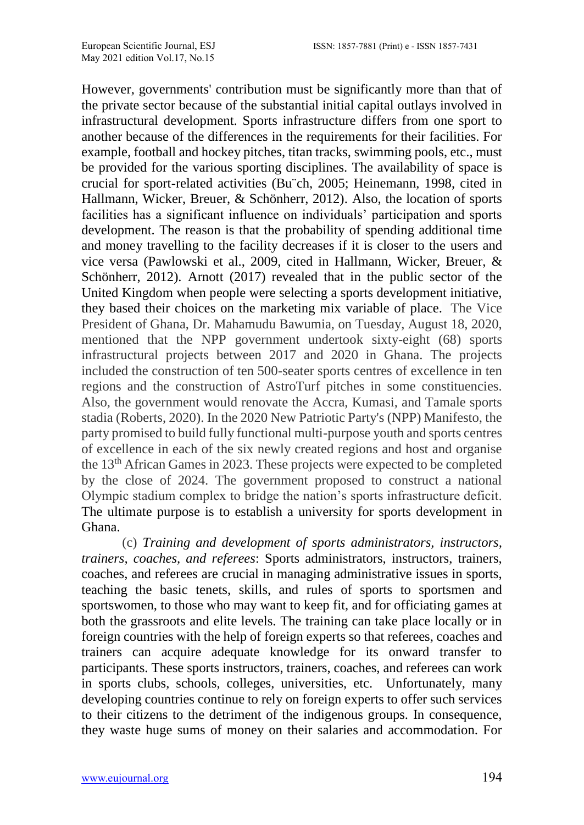However, governments' contribution must be significantly more than that of the private sector because of the substantial initial capital outlays involved in infrastructural development. Sports infrastructure differs from one sport to another because of the differences in the requirements for their facilities. For example, football and hockey pitches, titan tracks, swimming pools, etc., must be provided for the various sporting disciplines. The availability of space is crucial for sport-related activities (Bu¨ch, 2005; Heinemann, 1998, cited in Hallmann, Wicker, Breuer, & Schönherr, 2012). Also, the location of sports facilities has a significant influence on individuals' participation and sports development. The reason is that the probability of spending additional time and money travelling to the facility decreases if it is closer to the users and vice versa (Pawlowski et al., 2009, cited in Hallmann, Wicker, Breuer, & Schönherr, 2012). Arnott (2017) revealed that in the public sector of the United Kingdom when people were selecting a sports development initiative, they based their choices on the marketing mix variable of place. The Vice President of Ghana, Dr. Mahamudu Bawumia, on Tuesday, August 18, 2020, mentioned that the NPP government undertook sixty-eight (68) sports infrastructural projects between 2017 and 2020 in Ghana. The projects included the construction of ten 500-seater sports centres of excellence in ten regions and the construction of AstroTurf pitches in some constituencies. Also, the government would renovate the Accra, Kumasi, and Tamale sports stadia (Roberts, 2020). In the 2020 New Patriotic Party's (NPP) Manifesto, the party promised to build fully functional multi-purpose youth and sports centres of excellence in each of the six newly created regions and host and organise the 13th African Games in 2023. These projects were expected to be completed by the close of 2024. The government proposed to construct a national Olympic stadium complex to bridge the nation's sports infrastructure deficit. The ultimate purpose is to establish a university for sports development in Ghana.

(c) *Training and development of sports administrators, instructors, trainers, coaches, and referees*: Sports administrators, instructors, trainers, coaches, and referees are crucial in managing administrative issues in sports, teaching the basic tenets, skills, and rules of sports to sportsmen and sportswomen, to those who may want to keep fit, and for officiating games at both the grassroots and elite levels. The training can take place locally or in foreign countries with the help of foreign experts so that referees, coaches and trainers can acquire adequate knowledge for its onward transfer to participants. These sports instructors, trainers, coaches, and referees can work in sports clubs, schools, colleges, universities, etc. Unfortunately, many developing countries continue to rely on foreign experts to offer such services to their citizens to the detriment of the indigenous groups. In consequence, they waste huge sums of money on their salaries and accommodation. For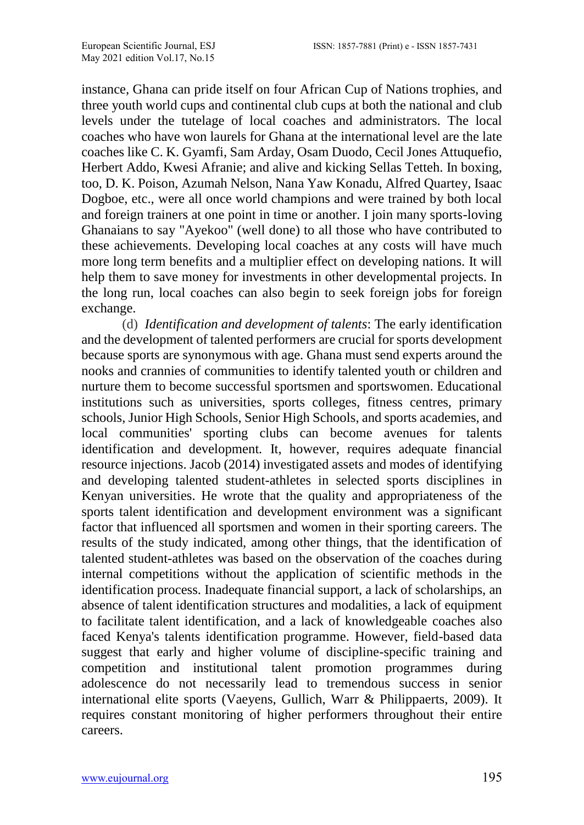instance, Ghana can pride itself on four African Cup of Nations trophies, and three youth world cups and continental club cups at both the national and club levels under the tutelage of local coaches and administrators. The local coaches who have won laurels for Ghana at the international level are the late coaches like C. K. Gyamfi, Sam Arday, Osam Duodo, Cecil Jones Attuquefio, Herbert Addo, Kwesi Afranie; and alive and kicking Sellas Tetteh. In boxing, too, D. K. Poison, Azumah Nelson, Nana Yaw Konadu, Alfred Quartey, Isaac Dogboe, etc., were all once world champions and were trained by both local and foreign trainers at one point in time or another. I join many sports-loving Ghanaians to say "Ayekoo" (well done) to all those who have contributed to these achievements. Developing local coaches at any costs will have much more long term benefits and a multiplier effect on developing nations. It will help them to save money for investments in other developmental projects. In the long run, local coaches can also begin to seek foreign jobs for foreign exchange.

(d) *Identification and development of talents*: The early identification and the development of talented performers are crucial for sports development because sports are synonymous with age. Ghana must send experts around the nooks and crannies of communities to identify talented youth or children and nurture them to become successful sportsmen and sportswomen. Educational institutions such as universities, sports colleges, fitness centres, primary schools, Junior High Schools, Senior High Schools, and sports academies, and local communities' sporting clubs can become avenues for talents identification and development*.* It, however, requires adequate financial resource injections. Jacob (2014) investigated assets and modes of identifying and developing talented student-athletes in selected sports disciplines in Kenyan universities. He wrote that the quality and appropriateness of the sports talent identification and development environment was a significant factor that influenced all sportsmen and women in their sporting careers. The results of the study indicated, among other things, that the identification of talented student-athletes was based on the observation of the coaches during internal competitions without the application of scientific methods in the identification process. Inadequate financial support, a lack of scholarships, an absence of talent identification structures and modalities, a lack of equipment to facilitate talent identification, and a lack of knowledgeable coaches also faced Kenya's talents identification programme. However, field-based data suggest that early and higher volume of discipline-specific training and competition and institutional talent promotion programmes during adolescence do not necessarily lead to tremendous success in senior international elite sports (Vaeyens, Gullich, Warr & Philippaerts, 2009). It requires constant monitoring of higher performers throughout their entire careers.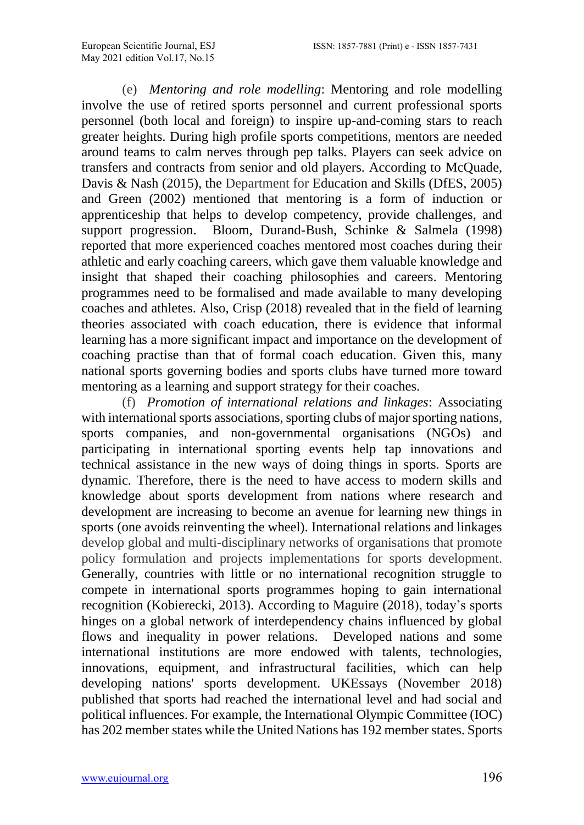(e) *Mentoring and role modelling*: Mentoring and role modelling involve the use of retired sports personnel and current professional sports personnel (both local and foreign) to inspire up-and-coming stars to reach greater heights. During high profile sports competitions, mentors are needed around teams to calm nerves through pep talks. Players can seek advice on transfers and contracts from senior and old players. According to McQuade, Davis & Nash (2015), the Department for Education and Skills (DfES, 2005) and Green [\(2002\)](https://www.tandfonline.com/doi/full/10.1080/00336297.2015.1048810?scroll=top&needAccess=true) mentioned that mentoring is a form of induction or apprenticeship that helps to develop competency, provide challenges, and support progression. Bloom, Durand-Bush, Schinke & Salmela (1998) reported that more experienced coaches mentored most coaches during their athletic and early coaching careers, which gave them valuable knowledge and insight that shaped their coaching philosophies and careers. Mentoring programmes need to be formalised and made available to many developing coaches and athletes. Also, Crisp (2018) revealed that in the field of learning theories associated with coach education, there is evidence that informal learning has a more significant impact and importance on the development of coaching practise than that of formal coach education. Given this, many national sports governing bodies and sports clubs have turned more toward mentoring as a learning and support strategy for their coaches.

(f) *Promotion of international relations and linkages*: Associating with international sports associations, sporting clubs of major sporting nations, sports companies, and non-governmental organisations (NGOs) and participating in international sporting events help tap innovations and technical assistance in the new ways of doing things in sports. Sports are dynamic. Therefore, there is the need to have access to modern skills and knowledge about sports development from nations where research and development are increasing to become an avenue for learning new things in sports (one avoids reinventing the wheel). International relations and linkages develop global and multi-disciplinary networks of organisations that promote policy formulation and projects implementations for sports development. Generally, countries with little or no international recognition struggle to compete in international sports programmes hoping to gain international recognition (Kobierecki, 2013). According to Maguire (2018), today's sports hinges on a global network of interdependency chains influenced by global flows and inequality in power relations. Developed nations and some international institutions are more endowed with talents, technologies, innovations, equipment, and infrastructural facilities, which can help developing nations' sports development. UKEssays (November 2018) published that sports had reached the international level and had social and political influences. For example, the International Olympic Committee (IOC) has 202 member states while the United Nations has 192 member states. Sports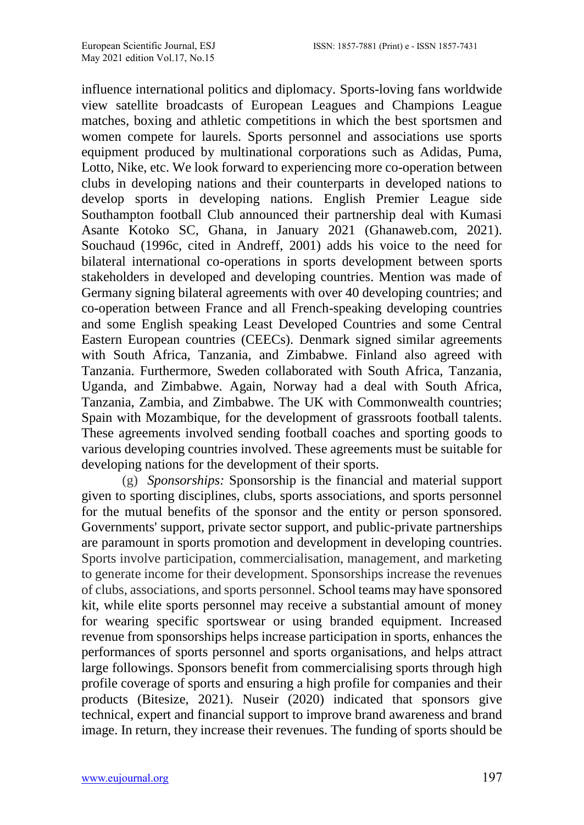influence international politics and diplomacy. Sports-loving fans worldwide view satellite broadcasts of European Leagues and Champions League matches, boxing and athletic competitions in which the best sportsmen and women compete for laurels. Sports personnel and associations use sports equipment produced by multinational corporations such as Adidas, Puma, Lotto, Nike, etc. We look forward to experiencing more co-operation between clubs in developing nations and their counterparts in developed nations to develop sports in developing nations. English Premier League side Southampton football Club announced their partnership deal with Kumasi [Asante Kotoko](https://www.ghanaweb.com/GhanaHomePage/people/person.php?ID=3592) SC, Ghana, in January 2021 (Ghanaweb.com, 2021). Souchaud (1996c, cited in Andreff, 2001) adds his voice to the need for bilateral international co-operations in sports development between sports stakeholders in developed and developing countries. Mention was made of Germany signing bilateral agreements with over 40 developing countries; and co-operation between France and all French-speaking developing countries and some English speaking Least Developed Countries and some Central Eastern European countries (CEECs). Denmark signed similar agreements with South Africa, Tanzania, and Zimbabwe. Finland also agreed with Tanzania. Furthermore, Sweden collaborated with South Africa, Tanzania, Uganda, and Zimbabwe. Again, Norway had a deal with South Africa, Tanzania, Zambia, and Zimbabwe. The UK with Commonwealth countries; Spain with Mozambique, for the development of grassroots football talents. These agreements involved sending football coaches and sporting goods to various developing countries involved. These agreements must be suitable for developing nations for the development of their sports.

(g) *Sponsorships:* Sponsorship is the financial and material support given to sporting disciplines, clubs, sports associations, and sports personnel for the mutual benefits of the sponsor and the entity or person sponsored. Governments' support, private sector support, and public-private partnerships are paramount in sports promotion and development in developing countries. Sports involve participation, commercialisation, management, and marketing to generate income for their development. Sponsorships increase the revenues of clubs, associations, and sports personnel. School teams may have sponsored kit, while elite sports personnel may receive a substantial amount of money for wearing specific sportswear or using branded equipment. Increased revenue from sponsorships helps increase participation in sports, enhances the performances of sports personnel and sports organisations, and helps attract large followings. Sponsors benefit from commercialising sports through high profile coverage of sports and ensuring a high profile for companies and their products (Bitesize, 2021). Nuseir (2020) indicated that sponsors give technical, expert and financial support to improve brand awareness and brand image. In return, they increase their revenues. The funding of sports should be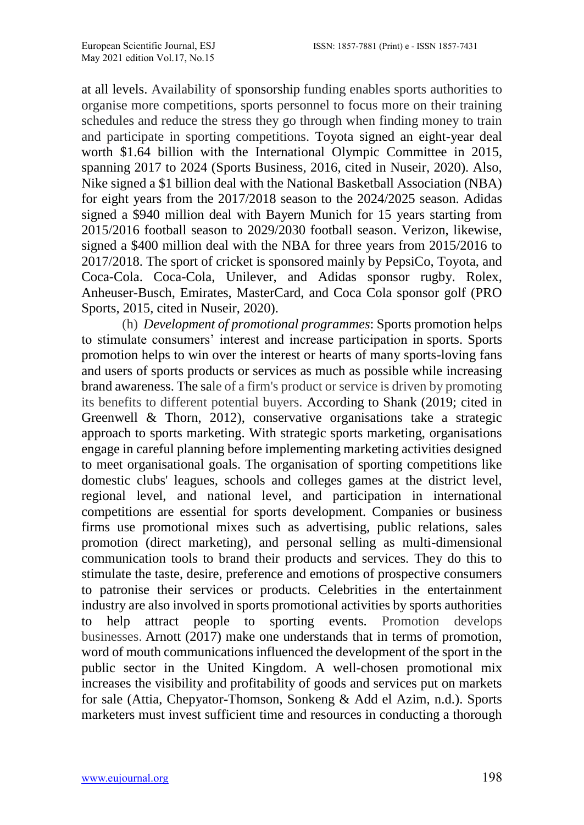at all levels. Availability of sponsorship funding enables sports authorities to organise more competitions, sports personnel to focus more on their training schedules and reduce the stress they go through when finding money to train and participate in sporting competitions. Toyota signed an eight-year deal worth \$1.64 billion with the International Olympic Committee in 2015, spanning 2017 to 2024 (Sports Business, 2016, cited in Nuseir, 2020). Also, Nike signed a \$1 billion deal with the National Basketball Association (NBA) for eight years from the 2017/2018 season to the 2024/2025 season. Adidas signed a \$940 million deal with Bayern Munich for 15 years starting from 2015/2016 football season to 2029/2030 football season. Verizon, likewise, signed a \$400 million deal with the NBA for three years from 2015/2016 to 2017/2018. The sport of cricket is sponsored mainly by PepsiCo, Toyota, and Coca-Cola. Coca-Cola, Unilever, and Adidas sponsor rugby. Rolex, Anheuser-Busch, Emirates, MasterCard, and Coca Cola sponsor golf (PRO Sports, 2015, cited in Nuseir, 2020).

(h) *Development of promotional programmes*: Sports promotion helps to stimulate consumers' interest and increase participation in sports. Sports promotion helps to win over the interest or hearts of many sports-loving fans and users of sports products or services as much as possible while increasing brand awareness. The sale of a firm's product or service is driven by promoting its benefits to different potential buyers. According to Shank (2019; cited in Greenwell & Thorn, 2012), conservative organisations take a strategic approach to sports marketing. With strategic sports marketing, organisations engage in careful planning before implementing marketing activities designed to meet organisational goals. The organisation of sporting competitions like domestic clubs' leagues, schools and colleges games at the district level, regional level, and national level, and participation in international competitions are essential for sports development. Companies or business firms use promotional mixes such as advertising, public relations, sales promotion (direct marketing), and personal selling as multi-dimensional communication tools to brand their products and services. They do this to stimulate the taste, desire, preference and emotions of prospective consumers to patronise their services or products. Celebrities in the entertainment industry are also involved in sports promotional activities by sports authorities to help attract people to sporting events. Promotion develops businesses. Arnott (2017) make one understands that in terms of promotion, word of mouth communications influenced the development of the sport in the public sector in the United Kingdom. A well-chosen promotional mix increases the visibility and profitability of goods and services put on markets for sale (Attia, Chepyator-Thomson, Sonkeng & Add el Azim, n.d.). Sports marketers must invest sufficient time and resources in conducting a thorough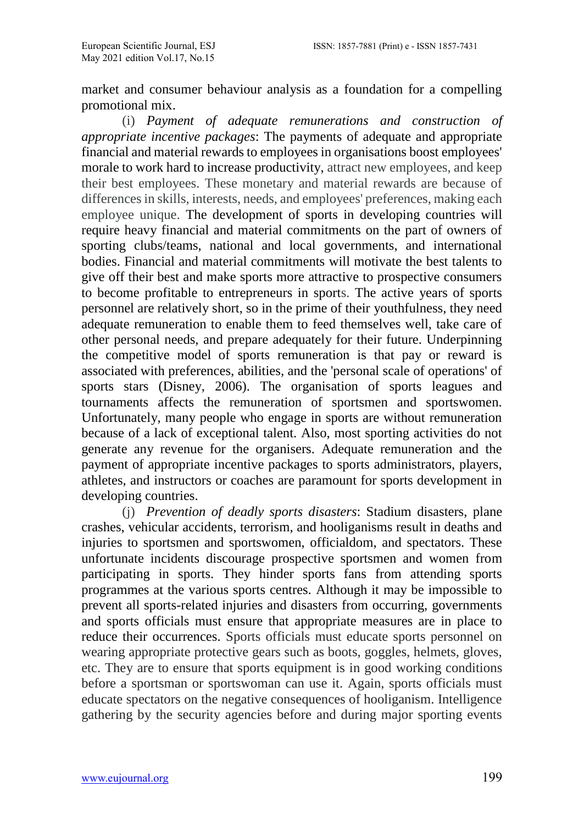market and consumer behaviour analysis as a foundation for a compelling promotional mix.

(i) *Payment of adequate remunerations and construction of appropriate incentive packages*: The payments of adequate and appropriate financial and material rewards to employees in organisations boost employees' morale to work hard to increase productivity, attract new employees, and keep their best employees. These monetary and material rewards are because of differences in skills, interests, needs, and employees' preferences, making each employee unique. The development of sports in developing countries will require heavy financial and material commitments on the part of owners of sporting clubs/teams, national and local governments, and international bodies. Financial and material commitments will motivate the best talents to give off their best and make sports more attractive to prospective consumers to become profitable to entrepreneurs in sports. The active years of sports personnel are relatively short, so in the prime of their youthfulness, they need adequate remuneration to enable them to feed themselves well, take care of other personal needs, and prepare adequately for their future. Underpinning the competitive model of sports remuneration is that pay or reward is associated with preferences, abilities, and the 'personal scale of operations' of sports stars (Disney, 2006). The organisation of sports leagues and tournaments affects the remuneration of sportsmen and sportswomen. Unfortunately, many people who engage in sports are without remuneration because of a lack of exceptional talent. Also, most sporting activities do not generate any revenue for the organisers. Adequate remuneration and the payment of appropriate incentive packages to sports administrators, players, athletes, and instructors or coaches are paramount for sports development in developing countries.

(j) *Prevention of deadly sports disasters*: Stadium disasters, plane crashes, vehicular accidents, terrorism, and hooliganisms result in deaths and injuries to sportsmen and sportswomen, officialdom, and spectators. These unfortunate incidents discourage prospective sportsmen and women from participating in sports. They hinder sports fans from attending sports programmes at the various sports centres. Although it may be impossible to prevent all sports-related injuries and disasters from occurring, governments and sports officials must ensure that appropriate measures are in place to reduce their occurrences. Sports officials must educate sports personnel on wearing appropriate protective gears such as boots, goggles, helmets, gloves, etc. They are to ensure that sports equipment is in good working conditions before a sportsman or sportswoman can use it. Again, sports officials must educate spectators on the negative consequences of hooliganism. Intelligence gathering by the security agencies before and during major sporting events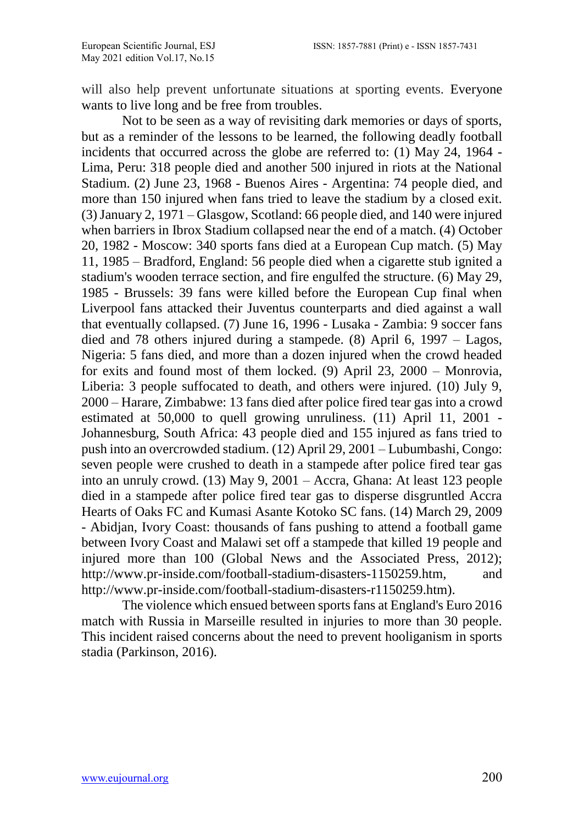will also help prevent unfortunate situations at sporting events. Everyone wants to live long and be free from troubles.

Not to be seen as a way of revisiting dark memories or days of sports, but as a reminder of the lessons to be learned, the following deadly football incidents that occurred across the globe are referred to: (1) May 24, 1964 - Lima, Peru: 318 people died and another 500 injured in riots at the National Stadium. (2) June 23, 1968 - Buenos Aires - Argentina: 74 people died, and more than 150 injured when fans tried to leave the stadium by a closed exit. (3) January 2, 1971 – Glasgow, Scotland: 66 people died, and 140 were injured when barriers in Ibrox Stadium collapsed near the end of a match. (4) October 20, 1982 - Moscow: 340 sports fans died at a European Cup match. (5) May 11, 1985 – Bradford, England: 56 people died when a cigarette stub ignited a stadium's wooden terrace section, and fire engulfed the structure. (6) May 29, 1985 - Brussels: 39 fans were killed before the European Cup final when Liverpool fans attacked their Juventus counterparts and died against a wall that eventually collapsed. (7) June 16, 1996 - Lusaka - Zambia: 9 soccer fans died and 78 others injured during a stampede. (8) April 6, 1997 – Lagos, Nigeria: 5 fans died, and more than a dozen injured when the crowd headed for exits and found most of them locked. (9) April 23, 2000 – Monrovia, Liberia: 3 people suffocated to death, and others were injured. (10) July 9, 2000 – Harare, Zimbabwe: 13 fans died after police fired tear gas into a crowd estimated at 50,000 to quell growing unruliness. (11) April 11, 2001 - Johannesburg, South Africa: 43 people died and 155 injured as fans tried to push into an overcrowded stadium. (12) April 29, 2001 – Lubumbashi, Congo: seven people were crushed to death in a stampede after police fired tear gas into an unruly crowd. (13) May 9, 2001 – Accra, Ghana: At least 123 people died in a stampede after police fired tear gas to disperse disgruntled Accra Hearts of Oaks FC and Kumasi Asante Kotoko SC fans. (14) March 29, 2009 - Abidjan, Ivory Coast: thousands of fans pushing to attend a football game between Ivory Coast and Malawi set off a stampede that killed 19 people and injured more than 100 [\(Global News and the Associated Press, 2012\);]((Global%20News%20and%20the%20Associated%20Press,%202012);%20http:/www.pr-inside.com/football-stadium-disasters-1150259.htm)  [http://www.pr-inside.com/football-stadium-disasters-1150259.htm,]((Global%20News%20and%20the%20Associated%20Press,%202012);%20http:/www.pr-inside.com/football-stadium-disasters-1150259.htm) and http://www.pr-inside.com/football-stadium-disasters-r1150259.htm).

The violence which ensued between sports fans at England's Euro 2016 match with Russia in Marseille resulted in injuries to more than 30 people. This incident raised concerns about the need to prevent hooliganism in sports stadia (Parkinson, 2016).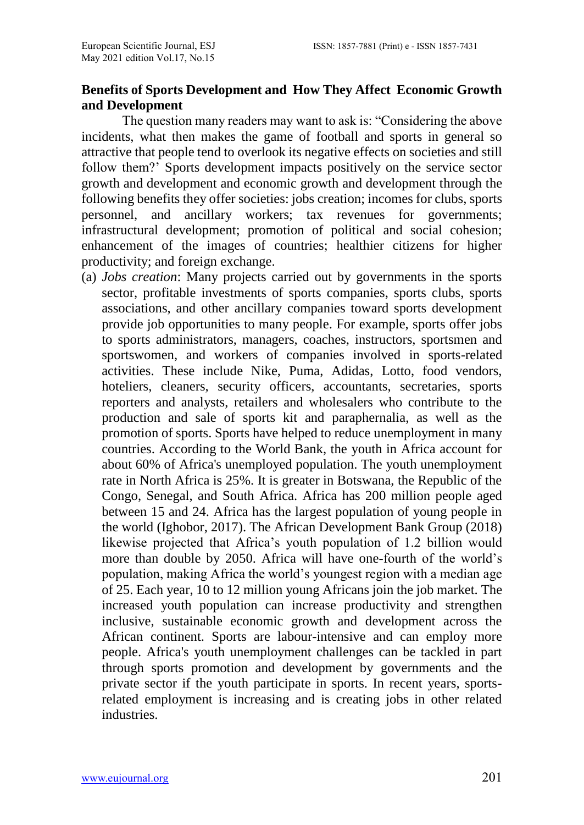### **Benefits of Sports Development and How They Affect Economic Growth and Development**

The question many readers may want to ask is: "Considering the above incidents, what then makes the game of football and sports in general so attractive that people tend to overlook its negative effects on societies and still follow them?' Sports development impacts positively on the service sector growth and development and economic growth and development through the following benefits they offer societies: jobs creation; incomes for clubs, sports personnel, and ancillary workers; tax revenues for governments; infrastructural development; promotion of political and social cohesion; enhancement of the images of countries; healthier citizens for higher productivity; and foreign exchange.

(a) *Jobs creation*: Many projects carried out by governments in the sports sector, profitable investments of sports companies, sports clubs, sports associations, and other ancillary companies toward sports development provide job opportunities to many people. For example, sports offer jobs to sports administrators, managers, coaches, instructors, sportsmen and sportswomen, and workers of companies involved in sports-related activities. These include Nike, Puma, Adidas, Lotto, food vendors, hoteliers, cleaners, security officers, accountants, secretaries, sports reporters and analysts, retailers and wholesalers who contribute to the production and sale of sports kit and paraphernalia, as well as the promotion of sports. Sports have helped to reduce unemployment in many countries. According to the World Bank, the youth in Africa account for about 60% of Africa's unemployed population. The youth unemployment rate in North Africa is 25%. It is greater in Botswana, the Republic of the Congo, Senegal, and South Africa. Africa has 200 million people aged between 15 and 24. Africa has the largest population of young people in the world (Ighobor, 2017). The African Development Bank Group (2018) likewise projected that Africa's youth population of 1.2 billion would more than double by 2050. Africa will have one-fourth of the world's population, making Africa the world's youngest region with a median age of 25. Each year, 10 to 12 million young Africans join the job market. The increased youth population can increase productivity and strengthen inclusive, sustainable economic growth and development across the African continent. Sports are labour-intensive and can employ more people. Africa's youth unemployment challenges can be tackled in part through sports promotion and development by governments and the private sector if the youth participate in sports. In recent years, sportsrelated employment is increasing and is creating jobs in other related industries.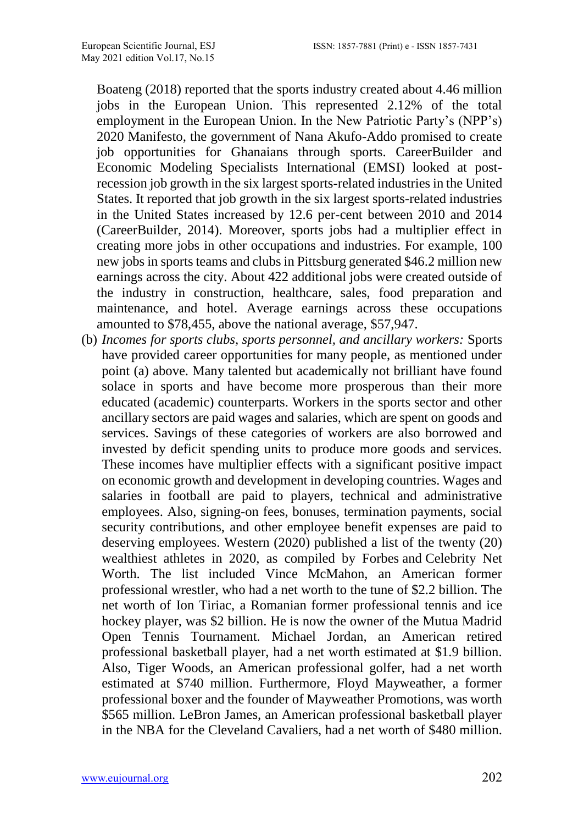Boateng (2018) reported that the sports industry created about 4.46 million jobs in the European Union. This represented 2.12% of the total employment in the European Union. In the New Patriotic Party's (NPP's) 2020 Manifesto, the government of Nana Akufo-Addo promised to create job opportunities for Ghanaians through sports. CareerBuilder and Economic Modeling Specialists International (EMSI) looked at postrecession job growth in the six largest sports-related industries in the United States. It reported that job growth in the six largest sports-related industries in the United States increased by 12.6 per-cent between 2010 and 2014 (CareerBuilder, 2014). Moreover, sports jobs had a multiplier effect in creating more jobs in other occupations and industries. For example, 100 new jobs in sports teams and clubs in Pittsburg generated \$46.2 million new earnings across the city. About 422 additional jobs were created outside of the industry in construction, healthcare, sales, food preparation and maintenance, and hotel. Average earnings across these occupations amounted to \$78,455, above the national average, \$57,947.

(b) *Incomes for sports clubs, sports personnel, and ancillary workers:* Sports have provided career opportunities for many people, as mentioned under point (a) above. Many talented but academically not brilliant have found solace in sports and have become more prosperous than their more educated (academic) counterparts. Workers in the sports sector and other ancillary sectors are paid wages and salaries, which are spent on goods and services. Savings of these categories of workers are also borrowed and invested by deficit spending units to produce more goods and services. These incomes have multiplier effects with a significant positive impact on economic growth and development in developing countries. Wages and salaries in football are paid to players, technical and administrative employees. Also, signing-on fees, bonuses, termination payments, social security contributions, and other employee benefit expenses are paid to deserving employees. [Western](https://wealthygorilla.com/author/dan-western/) (2020) published a list of the twenty (20) wealthiest athletes in 2020, as compiled by [Forbes](https://www.forbes.com/) and [Celebrity Net](https://www.celebritynetworth.com/)  [Worth.](https://www.celebritynetworth.com/) The list included Vince McMahon, an American former professional wrestler, who had a net worth to the tune of \$2.2 billion. The net worth of Ion Tiriac, a Romanian former professional tennis and ice hockey player, was \$2 billion. He is now the owner of the Mutua Madrid Open Tennis Tournament. Michael Jordan, an American retired professional basketball player, had a net worth estimated at \$1.9 billion. Also, Tiger Woods, an American professional golfer, had a net worth estimated at \$740 million. Furthermore, Floyd Mayweather, a former professional boxer and the founder of Mayweather Promotions, was worth \$565 million. LeBron James, an American professional basketball player in the NBA for the Cleveland Cavaliers, had a net worth of \$480 million.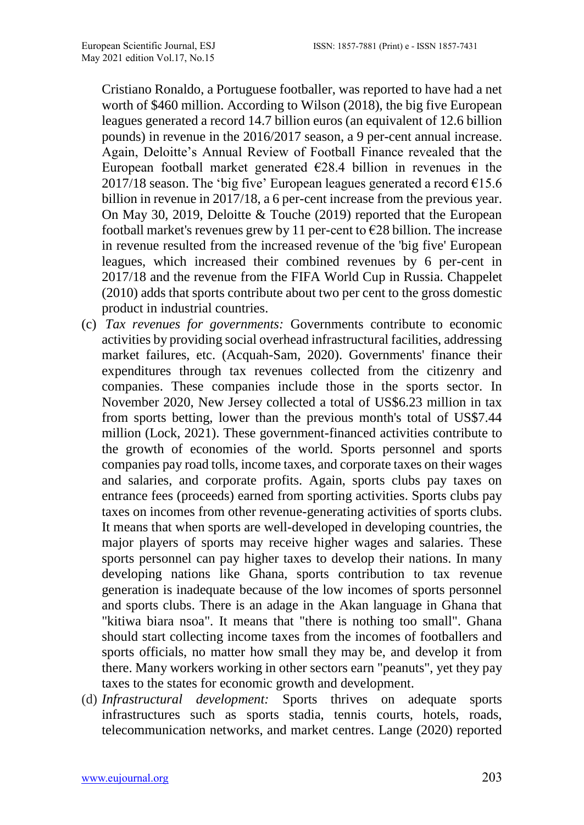Cristiano Ronaldo, a Portuguese footballer, was reported to have had a net worth of \$460 million. According to Wilson (2018), the big five European leagues generated a record 14.7 billion euros (an equivalent of 12.6 billion pounds) in revenue in the 2016/2017 season, a 9 per-cent annual increase. Again, Deloitte's Annual Review of Football Finance revealed that the European football market generated  $\epsilon$ 28.4 billion in revenues in the 2017/18 season. The 'big five' European leagues generated a record  $\epsilon$ 15.6 billion in revenue in 2017/18, a 6 per-cent increase from the previous year. On May 30, 2019, Deloitte & Touche (2019) reported that the European football market's revenues grew by 11 per-cent to  $\epsilon$ 28 billion. The increase in revenue resulted from the increased revenue of the 'big five' European leagues, which increased their combined revenues by 6 per-cent in 2017/18 and the revenue from the FIFA World Cup in Russia. Chappelet (2010) adds that sports contribute about two per cent to the gross domestic product in industrial countries.

- (c) *Tax revenues for governments:* Governments contribute to economic activities by providing social overhead infrastructural facilities, addressing market failures, etc. (Acquah-Sam, 2020). Governments' finance their expenditures through tax revenues collected from the citizenry and companies. These companies include those in the sports sector. In November 2020, New Jersey collected a total of US\$6.23 million in tax from sports betting, lower than the previous month's total of US\$7.44 million (Lock, 2021). These government-financed activities contribute to the growth of economies of the world. Sports personnel and sports companies pay road tolls, income taxes, and corporate taxes on their wages and salaries, and corporate profits. Again, sports clubs pay taxes on entrance fees (proceeds) earned from sporting activities. Sports clubs pay taxes on incomes from other revenue-generating activities of sports clubs. It means that when sports are well-developed in developing countries, the major players of sports may receive higher wages and salaries. These sports personnel can pay higher taxes to develop their nations. In many developing nations like Ghana, sports contribution to tax revenue generation is inadequate because of the low incomes of sports personnel and sports clubs. There is an adage in the Akan language in Ghana that "kitiwa biara nsoa". It means that "there is nothing too small". Ghana should start collecting income taxes from the incomes of footballers and sports officials, no matter how small they may be, and develop it from there. Many workers working in other sectors earn "peanuts", yet they pay taxes to the states for economic growth and development.
- (d) *Infrastructural development:* Sports thrives on adequate sports infrastructures such as sports stadia, tennis courts, hotels, roads, telecommunication networks, and market centres. Lange (2020) reported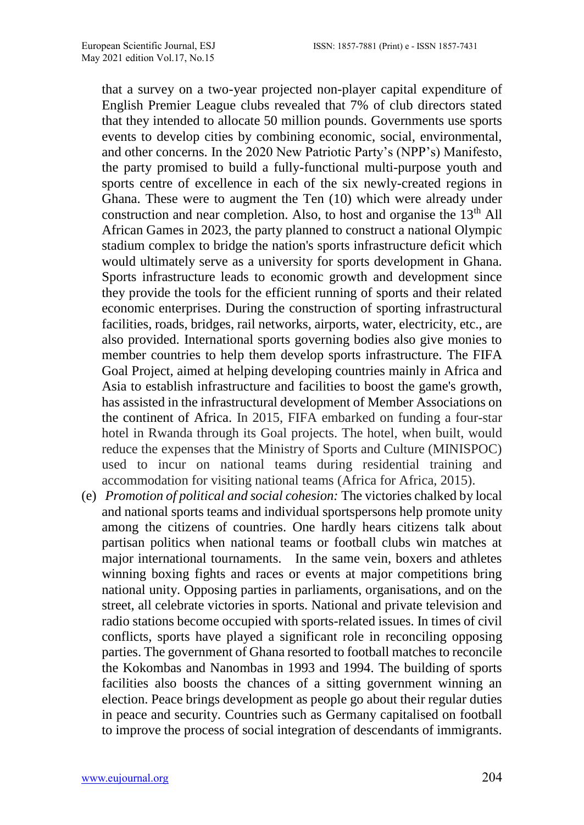that a survey on a two-year projected non-player capital expenditure of English Premier League clubs revealed that 7% of club directors stated that they intended to allocate 50 million pounds. Governments use sports events to develop cities by combining economic, social, environmental, and other concerns. In the 2020 New Patriotic Party's (NPP's) Manifesto, the party promised to build a fully-functional multi-purpose youth and sports centre of excellence in each of the six newly-created regions in Ghana. These were to augment the Ten (10) which were already under construction and near completion. Also, to host and organise the  $13<sup>th</sup>$  All African Games in 2023, the party planned to construct a national Olympic stadium complex to bridge the nation's sports infrastructure deficit which would ultimately serve as a university for sports development in Ghana. Sports infrastructure leads to economic growth and development since they provide the tools for the efficient running of sports and their related economic enterprises. During the construction of sporting infrastructural facilities, roads, bridges, rail networks, airports, water, electricity, etc., are also provided. International sports governing bodies also give monies to member countries to help them develop sports infrastructure. The FIFA Goal Project, aimed at helping developing countries mainly in Africa and Asia to establish infrastructure and facilities to boost the game's growth, has assisted in the infrastructural development of Member Associations on the continent of Africa. In 2015, FIFA embarked on funding a four-star hotel in Rwanda through its Goal projects. The hotel, when built, would reduce the expenses that the Ministry of Sports and Culture (MINISPOC) used to incur on national teams during residential training and accommodation for visiting national teams (Africa for Africa, 2015).

(e) *Promotion of political and social cohesion:* The victories chalked by local and national sports teams and individual sportspersons help promote unity among the citizens of countries. One hardly hears citizens talk about partisan politics when national teams or football clubs win matches at major international tournaments. In the same vein, boxers and athletes winning boxing fights and races or events at major competitions bring national unity. Opposing parties in parliaments, organisations, and on the street, all celebrate victories in sports. National and private television and radio stations become occupied with sports-related issues. In times of civil conflicts, sports have played a significant role in reconciling opposing parties. The government of Ghana resorted to football matches to reconcile the Kokombas and Nanombas in 1993 and 1994. The building of sports facilities also boosts the chances of a sitting government winning an election. Peace brings development as people go about their regular duties in peace and security. Countries such as Germany capitalised on football to improve the process of social integration of descendants of immigrants.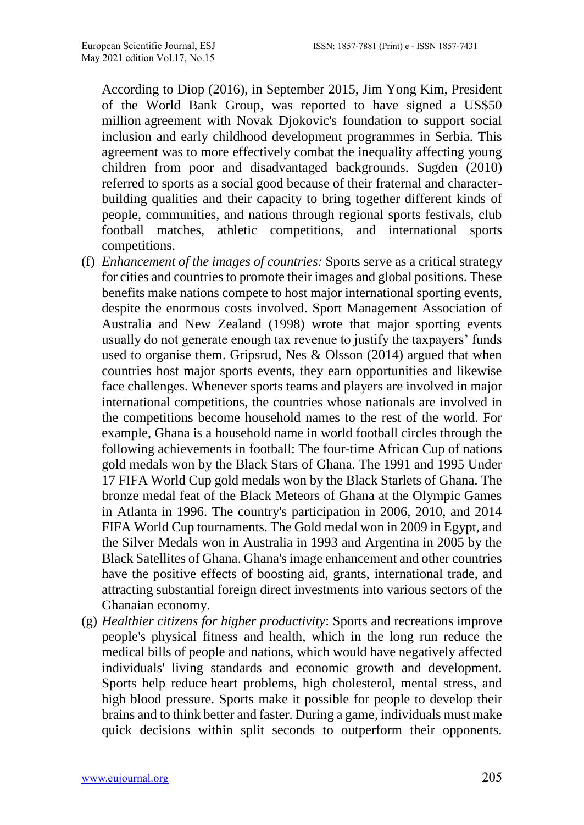According to Diop (2016), in September 2015, Jim Yong Kim, President of the World Bank Group, was reported to have signed a US\$50 million [agreement](http://www.worldbank.org/en/news/press-release/2015/08/26/world-bank-novak-djokovic-foundation-partner-to-promote-early-childhood-development-in-serbia-and-globally) with Novak Djokovic's foundation to support social inclusion and early childhood development programmes in Serbia. This agreement was to more effectively combat the inequality affecting young children from poor and disadvantaged backgrounds. Sugden (2010) referred to sports as a social good because of their fraternal and characterbuilding qualities and their capacity to bring together different kinds of people, communities, and nations through regional sports festivals, club football matches, athletic competitions, and international sports competitions.

- (f) *Enhancement of the images of countries:* Sports serve as a critical strategy for cities and countries to promote their images and global positions. These benefits make nations compete to host major international sporting events, despite the enormous costs involved. Sport Management Association of Australia and New Zealand (1998) wrote that major sporting events usually do not generate enough tax revenue to justify the taxpayers' funds used to organise them. Gripsrud, Nes & Olsson (2014) argued that when countries host major sports events, they earn opportunities and likewise face challenges. Whenever sports teams and players are involved in major international competitions, the countries whose nationals are involved in the competitions become household names to the rest of the world. For example, Ghana is a household name in world football circles through the following achievements in football: The four-time African Cup of nations gold medals won by the Black Stars of Ghana. The 1991 and 1995 Under 17 FIFA World Cup gold medals won by the Black Starlets of Ghana. The bronze medal feat of the Black Meteors of Ghana at the Olympic Games in Atlanta in 1996. The country's participation in 2006, 2010, and 2014 FIFA World Cup tournaments. The Gold medal won in 2009 in Egypt, and the Silver Medals won in Australia in 1993 and Argentina in 2005 by the Black Satellites of Ghana. Ghana's image enhancement and other countries have the positive effects of boosting aid, grants, international trade, and attracting substantial foreign direct investments into various sectors of the Ghanaian economy.
- (g) *Healthier citizens for higher productivity*: Sports and recreations improve people's physical fitness and health, which in the long run reduce the medical bills of people and nations, which would have negatively affected individuals' living standards and economic growth and development. Sports help reduce heart problems, high cholesterol, mental stress, and high blood pressure. Sports make it possible for people to develop their brains and to think better and faster. During a game, individuals must make quick decisions within split seconds to outperform their opponents.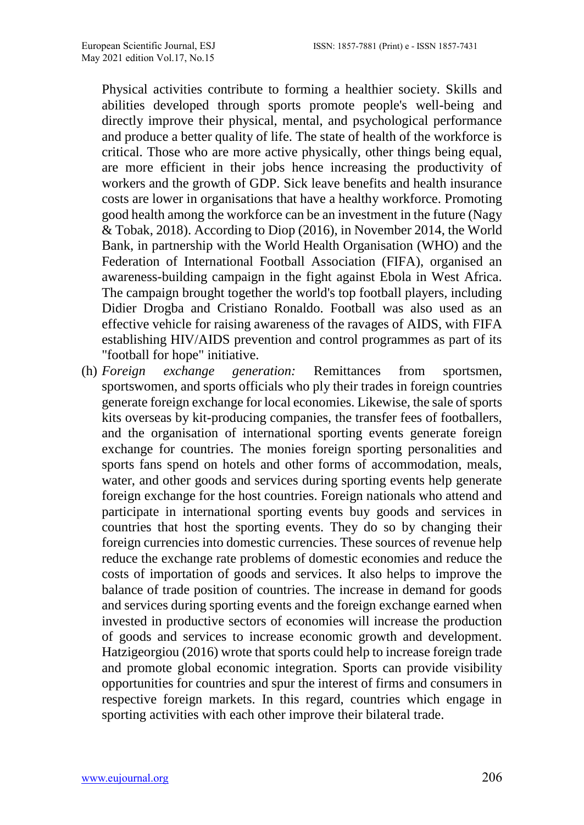Physical activities contribute to forming a healthier society. Skills and abilities developed through sports promote people's well-being and directly improve their physical, mental, and psychological performance and produce a better quality of life. The state of health of the workforce is critical. Those who are more active physically, other things being equal, are more efficient in their jobs hence increasing the productivity of workers and the growth of GDP. Sick leave benefits and health insurance costs are lower in organisations that have a healthy workforce. Promoting good health among the workforce can be an investment in the future (Nagy & Tobak, 2018). According to Diop (2016), in November 2014, the World Bank, in partnership with the World Health Organisation (WHO) and the Federation of International Football Association (FIFA), organised an [awareness-building campaign](http://www.worldbank.org/en/news/press-release/2014/11/17/international-football-stars-unite-in-the-fight-against-ebola) in the fight against Ebola in West Africa. The campaign brought together the world's top football players, including Didier Drogba and Cristiano Ronaldo. Football was also used as an effective vehicle for raising awareness of the ravages of AIDS, with FIFA establishing HIV/AIDS prevention and control programmes as part of its "football for hope" initiative.

(h) *Foreign exchange generation:* Remittances from sportsmen, sportswomen, and sports officials who ply their trades in foreign countries generate foreign exchange for local economies. Likewise, the sale of sports kits overseas by kit-producing companies, the transfer fees of footballers, and the organisation of international sporting events generate foreign exchange for countries. The monies foreign sporting personalities and sports fans spend on hotels and other forms of accommodation, meals, water, and other goods and services during sporting events help generate foreign exchange for the host countries. Foreign nationals who attend and participate in international sporting events buy goods and services in countries that host the sporting events. They do so by changing their foreign currencies into domestic currencies. These sources of revenue help reduce the exchange rate problems of domestic economies and reduce the costs of importation of goods and services. It also helps to improve the balance of trade position of countries. The increase in demand for goods and services during sporting events and the foreign exchange earned when invested in productive sectors of economies will increase the production of goods and services to increase economic growth and development. Hatzigeorgiou (2016) wrote that sports could help to increase foreign trade and promote global economic integration. Sports can provide visibility opportunities for countries and spur the interest of firms and consumers in respective foreign markets. In this regard, countries which engage in sporting activities with each other improve their bilateral trade.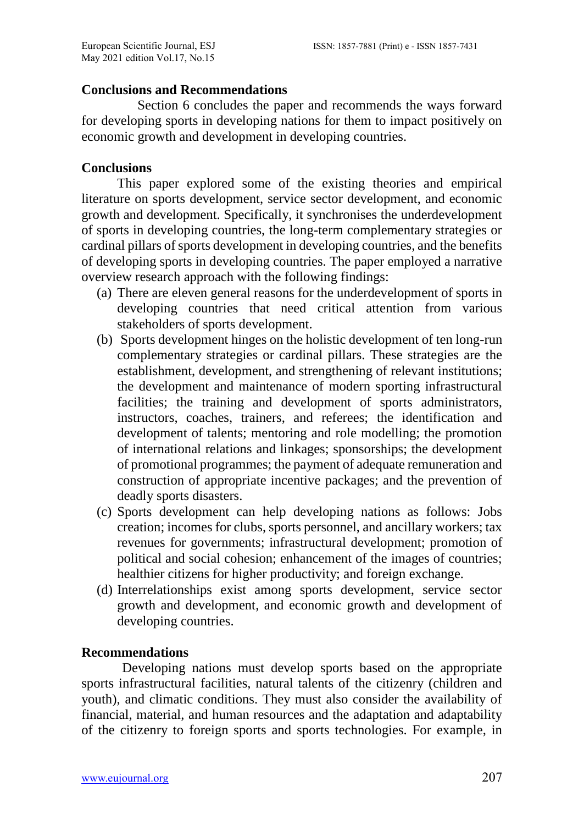#### **Conclusions and Recommendations**

Section 6 concludes the paper and recommends the ways forward for developing sports in developing nations for them to impact positively on economic growth and development in developing countries.

### **Conclusions**

This paper explored some of the existing theories and empirical literature on sports development, service sector development, and economic growth and development. Specifically, it synchronises the underdevelopment of sports in developing countries, the long-term complementary strategies or cardinal pillars of sports development in developing countries, and the benefits of developing sports in developing countries. The paper employed a narrative overview research approach with the following findings:

- (a) There are eleven general reasons for the underdevelopment of sports in developing countries that need critical attention from various stakeholders of sports development.
- (b) Sports development hinges on the holistic development of ten long-run complementary strategies or cardinal pillars. These strategies are the establishment, development, and strengthening of relevant institutions; the development and maintenance of modern sporting infrastructural facilities; the training and development of sports administrators, instructors, coaches, trainers, and referees; the identification and development of talents; mentoring and role modelling; the promotion of international relations and linkages; sponsorships; the development of promotional programmes; the payment of adequate remuneration and construction of appropriate incentive packages; and the prevention of deadly sports disasters.
- (c) Sports development can help developing nations as follows: Jobs creation; incomes for clubs, sports personnel, and ancillary workers; tax revenues for governments; infrastructural development; promotion of political and social cohesion; enhancement of the images of countries; healthier citizens for higher productivity; and foreign exchange.
- (d) Interrelationships exist among sports development, service sector growth and development, and economic growth and development of developing countries.

### **Recommendations**

Developing nations must develop sports based on the appropriate sports infrastructural facilities, natural talents of the citizenry (children and youth), and climatic conditions. They must also consider the availability of financial, material, and human resources and the adaptation and adaptability of the citizenry to foreign sports and sports technologies. For example, in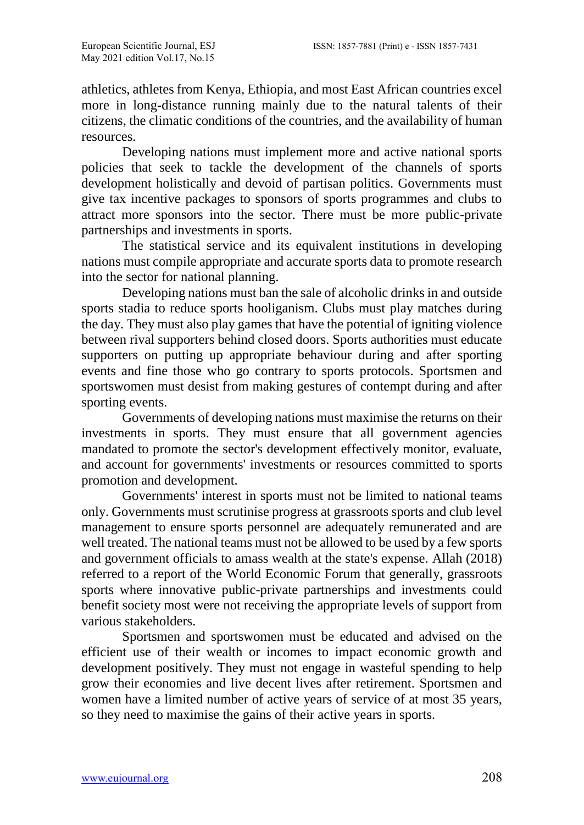athletics, athletes from Kenya, Ethiopia, and most East African countries excel more in long-distance running mainly due to the natural talents of their citizens, the climatic conditions of the countries, and the availability of human resources.

Developing nations must implement more and active national sports policies that seek to tackle the development of the channels of sports development holistically and devoid of partisan politics. Governments must give tax incentive packages to sponsors of sports programmes and clubs to attract more sponsors into the sector. There must be more public-private partnerships and investments in sports.

The statistical service and its equivalent institutions in developing nations must compile appropriate and accurate sports data to promote research into the sector for national planning.

Developing nations must ban the sale of alcoholic drinks in and outside sports stadia to reduce sports hooliganism. Clubs must play matches during the day. They must also play games that have the potential of igniting violence between rival supporters behind closed doors. Sports authorities must educate supporters on putting up appropriate behaviour during and after sporting events and fine those who go contrary to sports protocols. Sportsmen and sportswomen must desist from making gestures of contempt during and after sporting events.

Governments of developing nations must maximise the returns on their investments in sports. They must ensure that all government agencies mandated to promote the sector's development effectively monitor, evaluate, and account for governments' investments or resources committed to sports promotion and development.

Governments' interest in sports must not be limited to national teams only. Governments must scrutinise progress at grassroots sports and club level management to ensure sports personnel are adequately remunerated and are well treated. The national teams must not be allowed to be used by a few sports and government officials to amass wealth at the state's expense. Allah (2018) referred to a report of the [World Economic Forum](https://www.weforum.org/projects/sport-and-the-creative-economy-partnering-for-economic-and-social-equality) that generally, grassroots sports where innovative public-private partnerships and investments could benefit society most were not receiving the appropriate levels of support from various stakeholders.

Sportsmen and sportswomen must be educated and advised on the efficient use of their wealth or incomes to impact economic growth and development positively. They must not engage in wasteful spending to help grow their economies and live decent lives after retirement. Sportsmen and women have a limited number of active years of service of at most 35 years, so they need to maximise the gains of their active years in sports.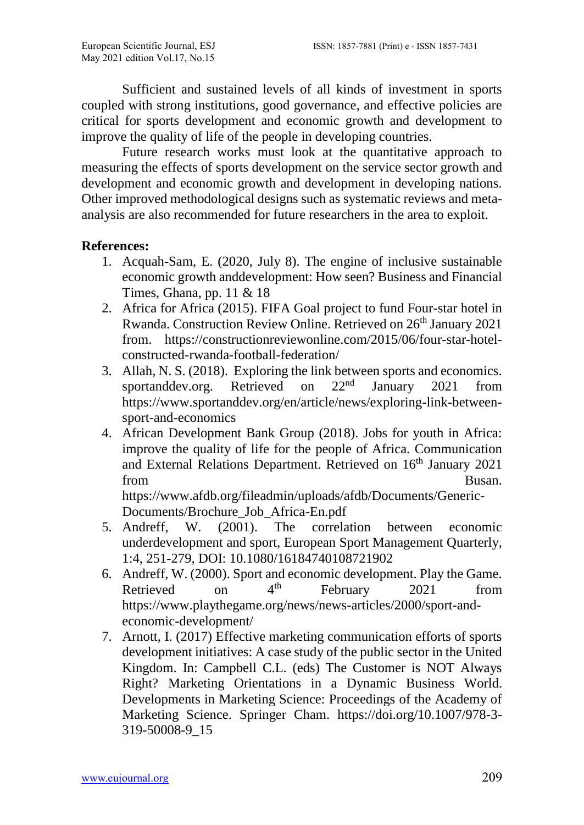Sufficient and sustained levels of all kinds of investment in sports coupled with strong institutions, good governance, and effective policies are critical for sports development and economic growth and development to improve the quality of life of the people in developing countries.

Future research works must look at the quantitative approach to measuring the effects of sports development on the service sector growth and development and economic growth and development in developing nations. Other improved methodological designs such as systematic reviews and metaanalysis are also recommended for future researchers in the area to exploit.

### **References:**

- 1. Acquah-Sam, E. (2020, July 8). The engine of inclusive sustainable economic growth anddevelopment: How seen? Business and Financial Times, Ghana, pp. 11 & 18
- 2. Africa for Africa (2015). FIFA Goal project to fund Four-star hotel in Rwanda. Construction Review Online. Retrieved on 26<sup>th</sup> January 2021 from. https://constructionreviewonline.com/2015/06/four-star-hotelconstructed-rwanda-football-federation/
- 3. Allah, N. S. (2018). Exploring the link between sports and economics. sportanddev.org. Retrieved on 22<sup>nd</sup> January 2021 from https://www.sportanddev.org/en/article/news/exploring-link-betweensport-and-economics
- 4. African Development Bank Group (2018). Jobs for youth in Africa: improve the quality of life for the people of Africa. Communication and External Relations Department. Retrieved on 16<sup>th</sup> January 2021 from Busan. [https://www.afdb.org/fileadmin/uploads/afdb/Documents/Generic-](https://www.afdb.org/fileadmin/uploads/afdb/Documents/Generic-Documents/Brochure_Job_Africa-En.pdf)

[Documents/Brochure\\_Job\\_Africa-En.pdf](https://www.afdb.org/fileadmin/uploads/afdb/Documents/Generic-Documents/Brochure_Job_Africa-En.pdf)

- 5. Andreff, W. (2001). The correlation between economic underdevelopment and sport, European Sport Management Quarterly, 1:4, 251-279, DOI: 10.1080/16184740108721902
- 6. [Andreff,](https://www.playthegame.org/authorlist/?author=20999) W. (2000). Sport and economic development. Play the Game. Retrieved on  $4<sup>th</sup>$  February 2021 from [https://www.playthegame.org/news/news-articles/2000/sport-and](https://www.playthegame.org/news/news-articles/2000/sport-and-economic-)[economic-d](https://www.playthegame.org/news/news-articles/2000/sport-and-economic-)evelopment/
- 7. Arnott, I. (2017) Effective marketing communication efforts of sports development initiatives: A case study of the public sector in the United Kingdom. In: Campbell C.L. (eds) The Customer is NOT Always Right? Marketing Orientations in a Dynamic Business World. Developments in Marketing Science: Proceedings of the Academy of Marketing Science. Springer Cham. https://doi.org/10.1007/978-3- 319-50008-9\_15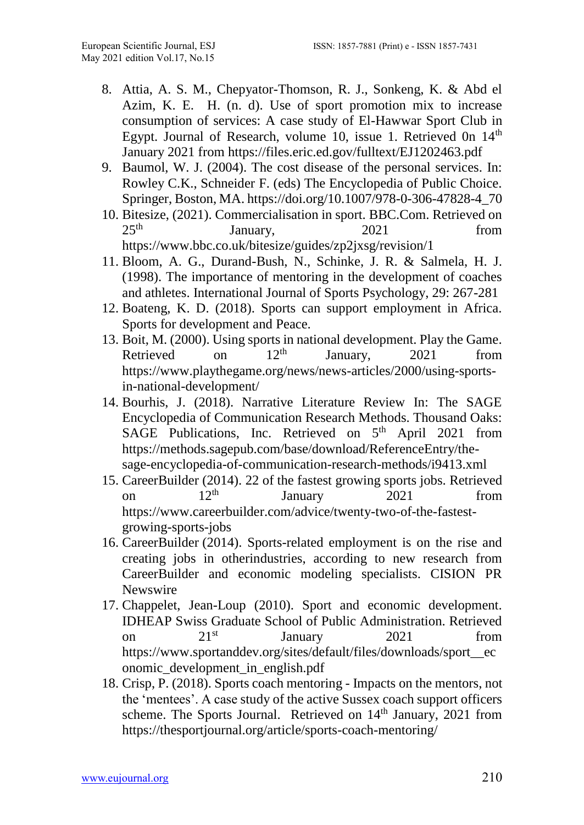- 8. Attia, A. S. M., Chepyator-Thomson, R. J., Sonkeng, K. & Abd el Azim, K. E. H. (n. d). Use of sport promotion mix to increase consumption of services: A case study of El-Hawwar Sport Club in Egypt. Journal of Research, volume 10, issue 1. Retrieved 0n  $14<sup>th</sup>$ January 2021 from https://files.eric.ed.gov/fulltext/EJ1202463.pdf
- 9. Baumol, W. J. (2004). The cost disease of the personal services. In: Rowley C.K., Schneider F. (eds) The Encyclopedia of Public Choice. Springer, Boston, MA[. https://doi.org/10.1007/978-0-306-47828-4\\_70](https://doi.org/10.1007/978-0-306-47828-4_70)
- 10. Bitesize, (2021). Commercialisation in sport. BBC.Com. Retrieved on<br>25<sup>th</sup> 10011 10011 1001 January, 2021 from <https://www.bbc.co.uk/bitesize/guides/zp2jxsg/revision/1>
- 11. Bloom, A. G., Durand-Bush, N., Schinke, J. R. & Salmela, H. J. (1998). The importance of mentoring in the development of coaches and athletes. International Journal of Sports Psychology, 29: 267-281
- 12. Boateng, K. D. (2018). Sports can support employment in Africa. Sports for development and Peace.
- 13. [Boit,](https://www.playthegame.org/authorlist/?author=20968) M. (2000). Using sports in national development. Play the Game. Retrieved on  $12<sup>th</sup>$  January,  $2021$  from [https://www.playthegame.org/news/news-articles/2000/using-sports](about:blank)[in-national-de](about:blank)velopment/
- 14. Bourhis, J. (2018). Narrative Literature Review In: The SAGE Encyclopedia of Communication Research Methods. Thousand Oaks: SAGE Publications, Inc. Retrieved on  $5<sup>th</sup>$  April 2021 from [https://methods.sagepub.com/base/download/ReferenceEntry/the](https://methods.sagepub.com/base/download/ReferenceEntry/the-sage-encyclopedia-of-communication-research-methods/i9413.xml)[sage-encyclopedia-of-communication-research-methods/i9413.xml](https://methods.sagepub.com/base/download/ReferenceEntry/the-sage-encyclopedia-of-communication-research-methods/i9413.xml)
- 15. CareerBuilder (2014). 22 of the fastest growing sports jobs. Retrieved<br>on  $12^{\text{th}}$  January 2021 from on  $12<sup>th</sup>$  January 2021 from [https://www.careerbuilder.com/advice/twenty-two-of-the-fastest](https://www.careerbuilder.com/advice/twenty-two-of-the-fastest-growing-sports-)[growing-sports-j](https://www.careerbuilder.com/advice/twenty-two-of-the-fastest-growing-sports-)obs
- 16. [CareerBuilder](https://www.prnewswire.com/news/careerbuilder/) (2014). Sports-related employment is on the rise and creating jobs in otherindustries, according to new research from CareerBuilder and economic modeling specialists. CISION PR **Newswire**
- 17. Chappelet, Jean-Loup (2010). Sport and economic development. IDHEAP Swiss Graduate School of Public Administration. Retrieved<br>on 21<sup>st</sup> January 2021 from on  $21^{st}$  January 2021 from https://www.sportanddev.org/sites/default/files/downloads/sport\_\_ec onomic\_development\_in\_english.pdf
- 18. Crisp, P. (2018). Sports coach mentoring Impacts on the mentors, not the 'mentees'. A case study of the active Sussex coach support officers scheme. The Sports Journal. Retrieved on 14<sup>th</sup> January, 2021 from <https://thesportjournal.org/article/sports-coach-mentoring/>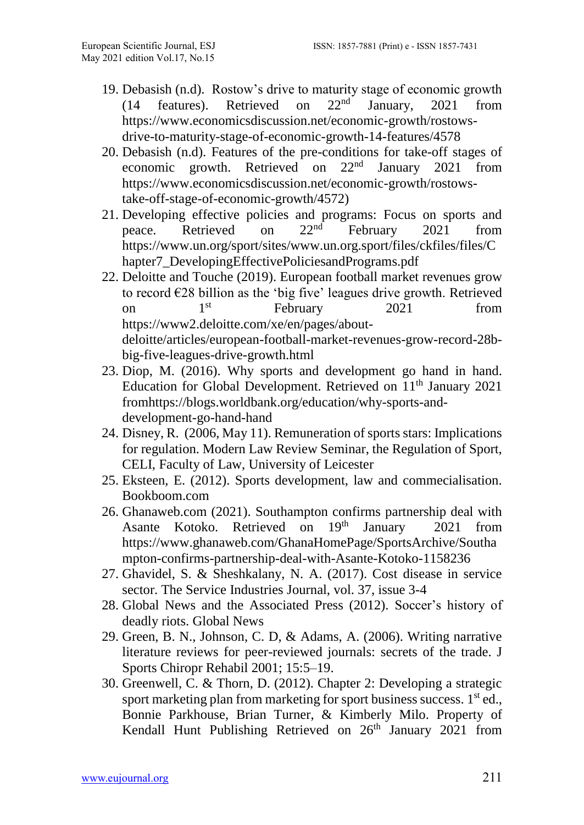- 19. Debasish (n.d). Rostow's drive to maturity stage of economic growth  $(14$  features). Retrieved on  $22<sup>nd</sup>$  January. 2021 from (14 features). Retrieved on  $22<sup>nd</sup>$  January, 2021 from [https://www.economicsdiscussion.net/economic-growth/rostows](https://www.economicsdiscussion.net/economic-growth/rostows-drive-to-maturity-stage-of-economic-growth-14-features/4578)[drive-to-maturity-stage-of-economic-growth-14-features/4578](https://www.economicsdiscussion.net/economic-growth/rostows-drive-to-maturity-stage-of-economic-growth-14-features/4578)
- 20. Debasish (n.d). Features of the pre-conditions for take-off stages of economic growth. Retrieved on 22nd January 2021 from [https://www.economicsdiscussion.net/economic-growth/rostows](https://www.economicsdiscussion.net/economic-growth/rostows-take-off-stage-of-economic-growth/4572)[take-off-stage-of-economic-growth/4572\)](https://www.economicsdiscussion.net/economic-growth/rostows-take-off-stage-of-economic-growth/4572)
- 21. Developing effective policies and programs: Focus on sports and peace. Retrieved on 22<sup>nd</sup> February 2021 from peace. Retrieved on  $22<sup>nd</sup>$  February 2021 from [https://www.un.org/sport/sites/www.un.org.sport/files/ckfiles/files/C](https://www.un.org/sport/sites/www.un.org.sport/files/ckfiles/files/Chapter7_DevelopingEffectivePoliciesandPrograms.pdf) [hapter7\\_DevelopingEffectivePoliciesandPrograms.pdf](https://www.un.org/sport/sites/www.un.org.sport/files/ckfiles/files/Chapter7_DevelopingEffectivePoliciesandPrograms.pdf)
- 22. [Deloitte](about:blank) and Touche (2019). European football market revenues grow to record  $\epsilon$ 28 billion as the 'big five' leagues drive growth. Retrieved on  $1<sup>st</sup>$  February 2021 from https://www2.deloitte.com/xe/en/pages/aboutdeloitte/articles/european-football-market-revenues-grow-record-28bbig-five-leagues-drive-growth.html
- 23. [Diop,](https://blogs.worldbank.org/team/makhtar-diop) M. (2016). Why sports and development go hand in hand. Education for Global Development. Retrieved on 11<sup>th</sup> January 2021 fromhttps://blogs.worldbank.org/education/why-sports-anddevelopment-go-hand-hand
- 24. Disney, R. (2006, May 11). Remuneration of sports stars: Implications for regulation. Modern Law Review Seminar, the Regulation of Sport, CELI, Faculty of Law, University of Leicester
- 25. Eksteen, E. (2012). Sports development, law and commecialisation. Bookboom.com
- 26. Ghanaweb.com (2021). Southampton confirms partnership deal with Asante Kotoko. Retrieved on 19th January 2021 from [https://www.ghanaweb.com/GhanaHomePage/SportsArchive/Southa](about:blank) [mpton-confirms-partnership-deal-with-Asante-Kotoko-11](about:blank)58236
- 27. Ghavidel, S. & Sheshkalany, N. A. (2017). Cost disease in service sector. The Service Industries Journal, vol. 37, issue 3-4
- 28. Global News and the Associated Press (2012). Soccer's history of deadly riots. Global News
- 29. Green, B. N., Johnson, C. D, & Adams, A. (2006). Writing narrative literature reviews for peer-reviewed journals: secrets of the trade. J Sports Chiropr Rehabil 2001; 15:5–19.
- 30. Greenwell, C. & Thorn, D. (2012). Chapter 2: Developing a strategic sport marketing plan from marketing for sport business success. 1<sup>st</sup> ed., Bonnie Parkhouse, Brian Turner, & Kimberly Milo. Property of Kendall Hunt Publishing Retrieved on  $26<sup>th</sup>$  January 2021 from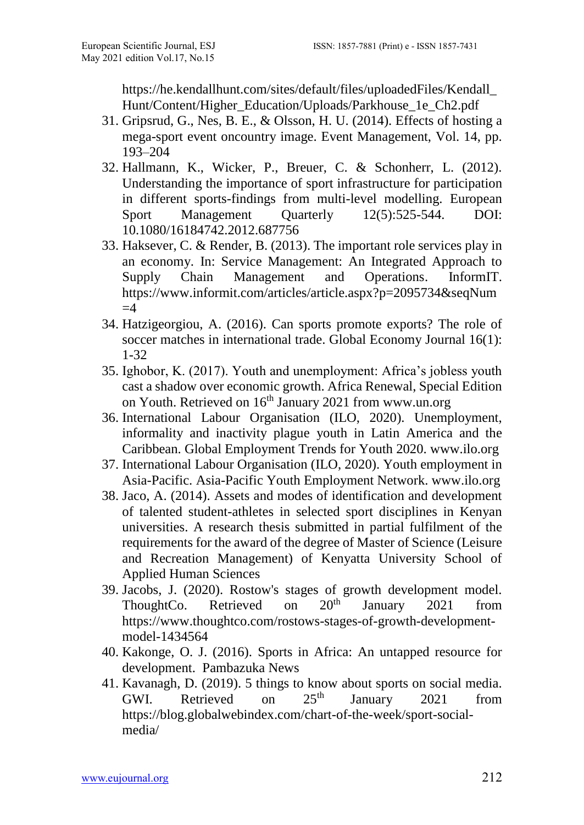https://he.kendallhunt.com/sites/default/files/uploadedFiles/Kendall\_ Hunt/Content/Higher\_Education/Uploads/Parkhouse\_1e\_Ch2.pdf

- 31. Gripsrud, G., Nes, B. E., & Olsson, H. U. (2014). Effects of hosting a mega-sport event oncountry image. Event Management, Vol. 14, pp. 193–204
- 32. Hallmann, K., Wicker, P., Breuer, C. & Schonherr, L. (2012). Understanding the importance of sport infrastructure for participation in different sports-findings from multi-level modelling. European<br>Sport Management Quarterly 12(5):525-544. DOI: Sport Management Quarterly 12(5):525-544. DOI: 10.1080/16184742.2012.687756
- 33. [Haksever,](https://www.informit.com/authors/bio/e816641f-482d-4f25-908a-94e3f52c4990) C. & [Render,](https://www.informit.com/authors/bio/0c66483a-cd0c-4d7d-b72e-8f11d813e928) B. (2013). [The important role services play in](https://www.informit.com/articles/article.aspx?p=2095734)  [an economy.](https://www.informit.com/articles/article.aspx?p=2095734) In: [Service Management: An Integrated Approach to](https://www.informit.com/store/service-management-an-integrated-approach-to-supply-9780133088779?w_ptgrevartcl=The+Important+Role+Services+Play+in+an+Economy_2095734)  [Supply Chain Management and Operations.](https://www.informit.com/store/service-management-an-integrated-approach-to-supply-9780133088779?w_ptgrevartcl=The+Important+Role+Services+Play+in+an+Economy_2095734) InformIT. https://www.informit.com/articles/article.aspx?p=2095734&seqNum  $=4$
- 34. Hatzigeorgiou, A. (2016). Can sports promote exports? The role of soccer matches in international trade. Global Economy Journal 16(1): 1-32
- 35. Ighobor, K. (2017). Youth and unemployment: Africa's jobless youth cast a shadow over economic growth. Africa Renewal, Special Edition on Youth. Retrieved on 16<sup>th</sup> January 2021 from www.un.org
- 36. International Labour Organisation (ILO, 2020). Unemployment, informality and inactivity plague youth in Latin America and the Caribbean. Global Employment Trends for Youth 2020. [www.ilo.org](http://www.ilo.org/)
- 37. International Labour Organisation (ILO, 2020). Youth employment in Asia-Pacific. Asia-Pacific Youth Employment Network. www.ilo.org
- 38. Jaco, A. (2014). Assets and modes of identification and development of talented student-athletes in selected sport disciplines in Kenyan universities. A research thesis submitted in partial fulfilment of the requirements for the award of the degree of Master of Science (Leisure and Recreation Management) of Kenyatta University School of Applied Human Sciences
- 39. Jacobs, J. (2020). Rostow's stages of growth development model.<br>ThoughtCo. Retrieved on  $20^{th}$  January 2021 from ThoughtCo. Retrieved on  $20^{th}$  January  $2021$  from [https://www.thoughtco.com/rostows-stages-of-growth-development](about:blank)[mo](about:blank)del-1434564
- 40. [Kakonge,](https://www.pambazuka.org/taxonomy/term/9676) O. J. (2016). [Sports in Africa: An untapped resource for](https://www.pambazuka.org/global-south/sports-africa-untapped-resource-development)  [development. Pambazuka News](https://www.pambazuka.org/global-south/sports-africa-untapped-resource-development)
- 41. [Kavanagh,](https://blog.globalwebindex.com/author/duncan/) D. (2019). 5 things to know about sports on social media. GWI. Retrieved on  $25<sup>th</sup>$  January 2021 from [https://blog.globalwebindex.com/chart-of-the-week/sport-social](https://blog.globalwebindex.com/chart-of-the-week/sport-social-)media/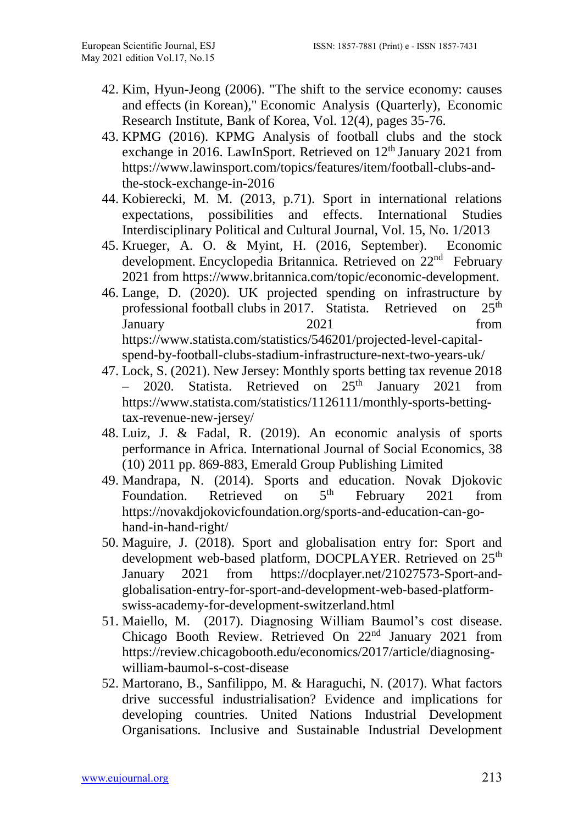- 42. Kim, Hyun-Jeong (2006). ["The shift to the service economy: causes](https://ideas.repec.org/a/bok/journl/v12y2006i4p35-76.html)  [and effects \(in](https://ideas.repec.org/a/bok/journl/v12y2006i4p35-76.html) Korean)," [Economic Analysis \(Quarterly\),](https://ideas.repec.org/s/bok/journl.html) Economic Research Institute, Bank of Korea, Vol. 12(4), pages 35-76.
- 43. KPMG (2016). [KPMG Analysis of football clubs and the stock](https://www.lawinsport.com/topics/features/item/football-clubs-and-the-stock-exchange-in-2016)  [exchange in 2016.](https://www.lawinsport.com/topics/features/item/football-clubs-and-the-stock-exchange-in-2016) LawInSport. Retrieved on 12<sup>th</sup> January 2021 from [https://www.lawinsport.com/topics/features/item/football-clubs-and](https://www.lawinsport.com/topics/features/item/football-clubs-and-the-stock-exchange-in-2016)[the-stock-exchange-in-2016](https://www.lawinsport.com/topics/features/item/football-clubs-and-the-stock-exchange-in-2016)
- 44. Kobierecki, M. M. (2013, p.71). Sport in international relations expectations, possibilities and effects. International Studies Interdisciplinary Political and Cultural Journal, Vol. 15, No. 1/2013
- 45. Krueger, A. O. & Myint, H. (2016, September). Economic development. Encyclopedia Britannica. Retrieved on 22<sup>nd</sup> February 2021 from https://www.britannica.com/topic/economic-development.
- 46. Lange, D. (2020). UK projected spending on infrastructure by professional football clubs in 2017. Statista. Retrieved on 25<sup>th</sup> January 2021 from [https://www.statista.com/statistics/546201/projected-level-capital](https://www.statista.com/statistics/546201/projected-level-capital-spend-by-football-clubs-stadium-infrastructure-next-two-years-uk/)[spend-by-football-clubs-stadium-infrastructure-next-two-years-uk/](https://www.statista.com/statistics/546201/projected-level-capital-spend-by-football-clubs-stadium-infrastructure-next-two-years-uk/)
- 47. Lock, S. (2021). New Jersey: Monthly sports betting tax revenue 2018  $-$  2020. Statista. Retrieved on  $25<sup>th</sup>$  January 2021 from [https://www.statista.com/statistics/1126111/monthly-sports-betting](https://www.statista.com/statistics/1126111/monthly-sports-betting-tax-revenue-new-jersey/)[tax-revenue-new-jersey/](https://www.statista.com/statistics/1126111/monthly-sports-betting-tax-revenue-new-jersey/)
- 48. Luiz, J. & Fadal, R. (2019). An economic analysis of sports performance in Africa. International Journal of Social Economics, 38 (10) 2011 pp. 869-883, Emerald Group Publishing Limited
- 49. [Mandrapa,](https://novakdjokovicfoundation.org/author/nebojsa-mandrapa/) N. (2014). Sports and education. Novak Djokovic Foundation. Retrieved on  $5<sup>th</sup>$  February 2021 from Retrieved on  $5<sup>th</sup>$  February 2021 from [https://novakdjokovicfoundation.org/sports-and-education-can-go](https://novakdjokovicfoundation.org/sports-and-education-can-go-)hand-in-hand-right/
- 50. Maguire, J. (2018). Sport and globalisation entry for: Sport and development web-based platform, DOCPLAYER. Retrieved on 25<sup>th</sup> January 2021 from [https://docplayer.net/21027573-Sport-and](https://docplayer.net/21027573-Sport-and-globalisation-entry-for-sport-and-development-web-based-platform-swiss-academy-for-development-switzerland.html)[globalisation-entry-for-sport-and-development-web-based-platform](https://docplayer.net/21027573-Sport-and-globalisation-entry-for-sport-and-development-web-based-platform-swiss-academy-for-development-switzerland.html)[swiss-academy-for-development-switzerland.html](https://docplayer.net/21027573-Sport-and-globalisation-entry-for-sport-and-development-web-based-platform-swiss-academy-for-development-switzerland.html)
- 51. Maiello, M. (2017). Diagnosing William Baumol's cost disease. Chicago Booth Review. Retrieved On 22nd January 2021 from https://review.chicagobooth.edu/economics/2017/article/diagnosingwilliam-baumol-s-cost-disease
- 52. Martorano, B., Sanfilippo, M. & Haraguchi, N. (2017). What factors drive successful industrialisation? Evidence and implications for developing countries. United Nations Industrial Development Organisations. Inclusive and Sustainable Industrial Development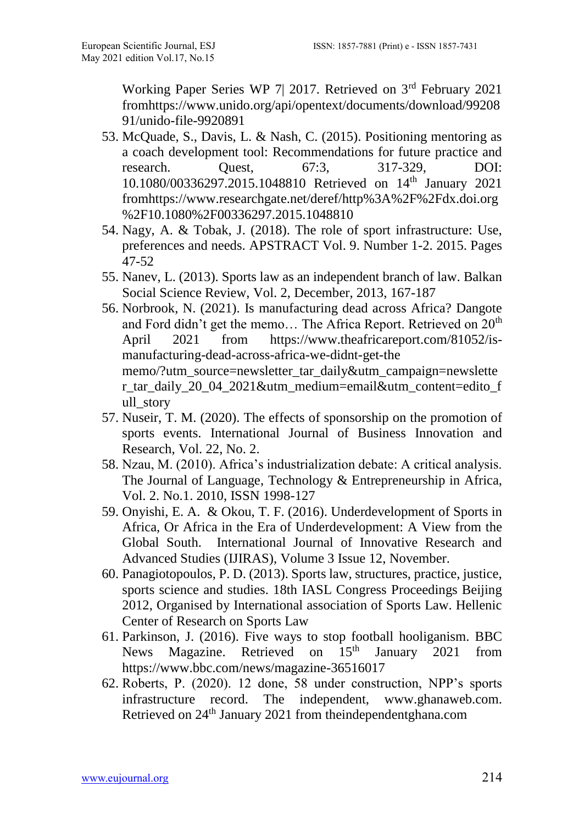Working Paper Series WP 7| 2017. Retrieved on 3rd February 2021 fromhttps://www.unido.org/api/opentext/documents/download/99208 91/unido-file-9920891

- 53. McQuade, S., Davis, L. & Nash, C. (2015). Positioning mentoring as a coach development tool: Recommendations for future practice and research. Quest, 67:3, 317-329, DOI: 10.1080/00336297.2015.1048810 Retrieved on 14th January 2021 fro[mhttps://www.researchgate.net/deref/http%3A%2F%2Fdx.doi.org](https://www.researchgate.net/deref/http%3A%2F%2Fdx.doi.org%2F10.1080%2F00336297.2015.1048810) [%2F10.1080%2F00336297.2015.1048810](https://www.researchgate.net/deref/http%3A%2F%2Fdx.doi.org%2F10.1080%2F00336297.2015.1048810)
- 54. Nagy, A. & Tobak, J. (2018). The role of sport infrastructure: Use, preferences and needs. APSTRACT Vol. 9. Number 1-2. 2015. Pages 47-52
- 55. Nanev, L. (2013). Sports law as an independent branch of law. Balkan Social Science Review, Vol. 2, December, 2013, 167-187
- 56. Norbrook, N. (2021). Is manufacturing dead across Africa? Dangote and Ford didn't get the memo... The Africa Report. Retrieved on 20<sup>th</sup> April 2021 from [https://www.theafricareport.com/81052/is](https://www.theafricareport.com/81052/is-manufacturing-dead-across-africa-we-didnt-get-the)[manufacturing-dead-across-africa-we-didnt-get-the](https://www.theafricareport.com/81052/is-manufacturing-dead-across-africa-we-didnt-get-the) memo/?utm\_source=newsletter\_tar\_daily&utm\_campaign=newslette r tar\_daily\_20\_04\_2021&utm\_medium=email&utm\_content=edito\_f ull story
- 57. Nuseir, T. M. (2020). The effects of sponsorship on the promotion of sports events. International Journal of Business Innovation and Research, Vol. 22, No. 2.
- 58. Nzau, M. (2010). Africa's industrialization debate: A critical analysis. The Journal of Language, Technology & Entrepreneurship in Africa, Vol. 2. No.1. 2010, ISSN 1998-127
- 59. Onyishi, E. A. & Okou, T. F. (2016). Underdevelopment of Sports in Africa, Or Africa in the Era of Underdevelopment: A View from the Global South. International Journal of Innovative Research and Advanced Studies (IJIRAS), Volume 3 Issue 12, November.
- 60. Panagiotopoulos, P. D. (2013). Sports law, structures, practice, justice, sports science and studies. 18th IASL Congress Proceedings Beijing 2012, Organised by International association of Sports Law. Hellenic Center of Research on Sports Law
- 61. Parkinson, J. (2016). Five ways to stop football hooliganism. BBC News Magazine. Retrieved on 15<sup>th</sup> January 2021 from https://www.bbc.com/news/magazine-36516017
- 62. Roberts, P. (2020). 12 done, 58 under construction, NPP's sports infrastructure record. The independent, [www.ghanaweb.com.](http://www.ghanaweb.com/) Retrieved on 24th January 2021 from theindependentghana.com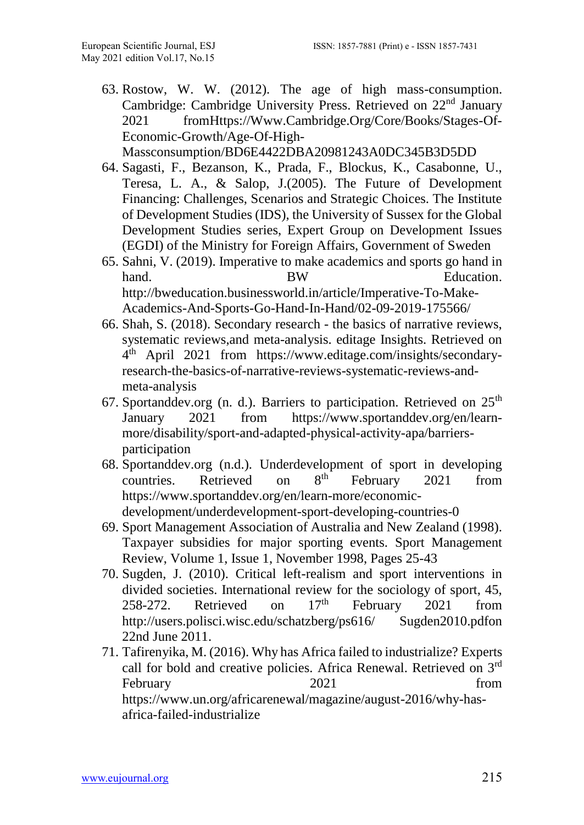63. [Rostow,](https://www.cambridge.org/core/search?filters%5BauthorTerms%5D=W.%20W.%20Rostow&eventCode=SE-AU) W. W. (2012). The age of high mass-consumption. Cambridge: Cambridge University Press. Retrieved on 22nd January 2021 fro[mHttps://Www.Cambridge.Org/Core/Books/Stages-Of-](https://www.cambridge.org/Core/Books/Stages-Of-Economic-Growth/Age-Of-High-)[Economic-Growth/Age-Of-High-](https://www.cambridge.org/Core/Books/Stages-Of-Economic-Growth/Age-Of-High-)Massconsumption/BD6E4422DBA20981243A0DC345B3D5DD

64. Sagasti, F., Bezanson, K., Prada, F., Blockus, K., Casabonne, U., Teresa, L. A., & Salop, J.(2005). The Future of Development Financing: Challenges, Scenarios and Strategic Choices. The Institute of Development Studies (IDS), the University of Sussex for the Global Development Studies series, Expert Group on Development Issues (EGDI) of the Ministry for Foreign Affairs, Government of Sweden

- 65. [Sahni,](http://bweducation.businessworld.in/author/Guest-Author/Dr-Vinay-Sahni-87059) V. (2019). Imperative to make academics and sports go hand in hand. BW Education. [http://bweducation.businessworld.in/article/Imperative-To-Make-](http://bweducation.businessworld.in/article/Imperative-To-Make-Academics-And-Sports-)[Academics-And-Sports-G](http://bweducation.businessworld.in/article/Imperative-To-Make-Academics-And-Sports-)o-Hand-In-Hand/02-09-2019-175566/
- 66. Shah, S. (2018). Secondary research the basics of narrative reviews, systematic reviews,and meta-analysis. editage Insights. Retrieved on 4 th April 2021 from [https://www.editage.com/insights/secondary](https://www.editage.com/insights/secondary-research-the-basics-of-narrative-reviews-systematic-reviews-and-meta-analysis)[research-the-basics-of-narrative-reviews-systematic-reviews-and](https://www.editage.com/insights/secondary-research-the-basics-of-narrative-reviews-systematic-reviews-and-meta-analysis)[meta-analysis](https://www.editage.com/insights/secondary-research-the-basics-of-narrative-reviews-systematic-reviews-and-meta-analysis)
- 67. Sportanddev.org (n. d.). Barriers to participation. Retrieved on  $25<sup>th</sup>$ January 2021 from [https://www.sportanddev.org/en/learn](https://www.sportanddev.org/en/learn-more/disability/sport-and-adapted-physical-activity-apa/barriers-participation)[more/disability/sport-and-adapted-physical-activity-apa/barriers](https://www.sportanddev.org/en/learn-more/disability/sport-and-adapted-physical-activity-apa/barriers-participation)[participation](https://www.sportanddev.org/en/learn-more/disability/sport-and-adapted-physical-activity-apa/barriers-participation)
- 68. Sportanddev.org (n.d.). Underdevelopment of sport in developing countries. Retrieved on  $8^{th}$  February 2021 from countries. Retrieved on  $8<sup>th</sup>$  February 2021 from [https://www.sportanddev.org/en/learn-more/economic](https://www.sportanddev.org/en/learn-more/economic-development/underdevelopment-sport-developing-countries-0)[development/underdevelopment-sport-developing-countries-0](https://www.sportanddev.org/en/learn-more/economic-development/underdevelopment-sport-developing-countries-0)
- 69. Sport Management Association of Australia and New Zealand (1998). Taxpayer subsidies for major sporting events. [Sport Management](https://www.sciencedirect.com/science/journal/14413523)  [Review,](https://www.sciencedirect.com/science/journal/14413523) [Volume 1, Issue 1,](https://www.sciencedirect.com/science/journal/14413523/1/1) November 1998, Pages 25-43
- 70. Sugden, J. (2010). Critical left-realism and sport interventions in divided societies. International review for the sociology of sport, 45, 258-272. Retrieved on  $17<sup>th</sup>$  February 2021 from http://users.polisci.wisc.edu/schatzberg/ps616/ Sugden2010.pdfon 22nd June 2011.
- 71. [Tafirenyika,](https://www.un.org/africarenewal/author/masimba-tafirenyika) M. (2016). Why has Africa failed to industrialize? Experts call for bold and creative policies. Africa Renewal. Retrieved on 3rd February 2021 from [https://www.un.org/africarenewal/magazine/august-2016/why-has](https://www.un.org/africarenewal/magazine/august-2016/why-has-africa-failed-industrialize)[africa-failed-industrialize](https://www.un.org/africarenewal/magazine/august-2016/why-has-africa-failed-industrialize)